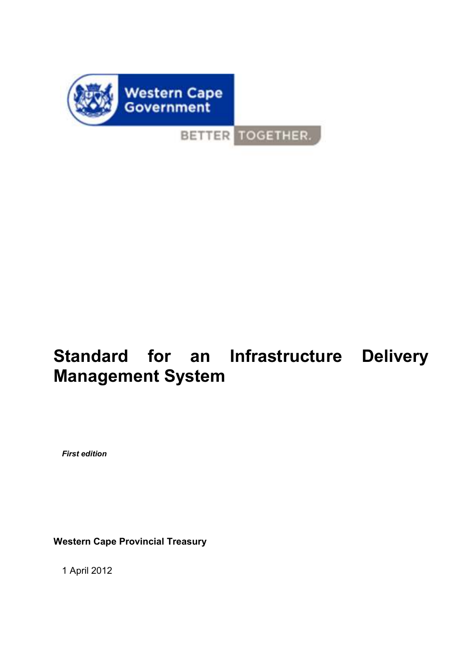

BETTER TOGETHER.

# **Standard for an Infrastructure Delivery Management System**

*First edition* 

**Western Cape Provincial Treasury** 

1 April 2012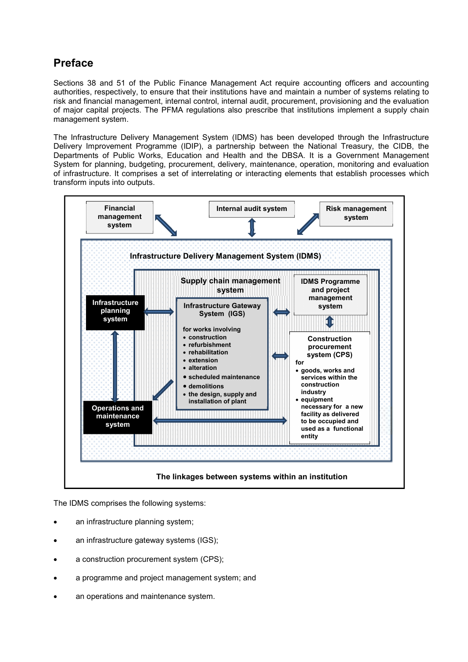# **Preface**

Sections 38 and 51 of the Public Finance Management Act require accounting officers and accounting authorities, respectively, to ensure that their institutions have and maintain a number of systems relating to risk and financial management, internal control, internal audit, procurement, provisioning and the evaluation of major capital projects. The PFMA regulations also prescribe that institutions implement a supply chain management system.

The Infrastructure Delivery Management System (IDMS) has been developed through the Infrastructure Delivery Improvement Programme (IDIP), a partnership between the National Treasury, the CIDB, the Departments of Public Works, Education and Health and the DBSA. It is a Government Management System for planning, budgeting, procurement, delivery, maintenance, operation, monitoring and evaluation of infrastructure. It comprises a set of interrelating or interacting elements that establish processes which transform inputs into outputs.



The IDMS comprises the following systems:

- an infrastructure planning system;
- an infrastructure gateway systems (IGS);
- a construction procurement system (CPS);
- a programme and project management system; and
- an operations and maintenance system.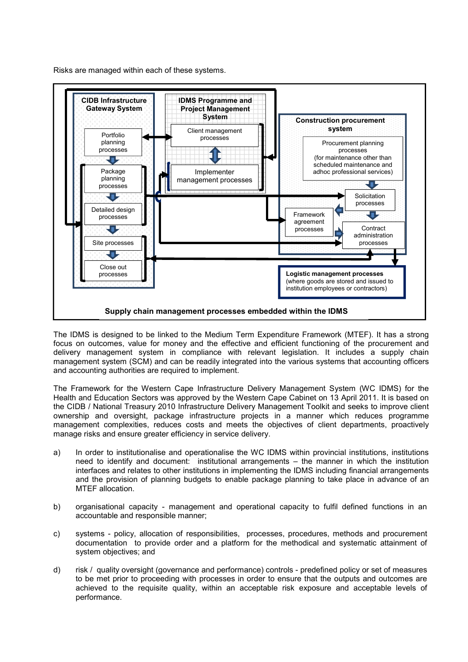Risks are managed within each of these systems.



The IDMS is designed to be linked to the Medium Term Expenditure Framework (MTEF). It has a strong focus on outcomes, value for money and the effective and efficient functioning of the procurement and delivery management system in compliance with relevant legislation. It includes a supply chain management system (SCM) and can be readily integrated into the various systems that accounting officers and accounting authorities are required to implement.

The Framework for the Western Cape Infrastructure Delivery Management System (WC IDMS) for the Health and Education Sectors was approved by the Western Cape Cabinet on 13 April 2011. It is based on the CIDB / National Treasury 2010 Infrastructure Delivery Management Toolkit and seeks to improve client ownership and oversight, package infrastructure projects in a manner which reduces programme management complexities, reduces costs and meets the objectives of client departments, proactively manage risks and ensure greater efficiency in service delivery.

- a) In order to institutionalise and operationalise the WC IDMS within provincial institutions, institutions need to identify and document: institutional arrangements – the manner in which the institution interfaces and relates to other institutions in implementing the IDMS including financial arrangements and the provision of planning budgets to enable package planning to take place in advance of an MTEF allocation.
- b) organisational capacity management and operational capacity to fulfil defined functions in an accountable and responsible manner;
- c) systems policy, allocation of responsibilities, processes, procedures, methods and procurement documentation to provide order and a platform for the methodical and systematic attainment of system objectives; and
- d) risk / quality oversight (governance and performance) controls predefined policy or set of measures to be met prior to proceeding with processes in order to ensure that the outputs and outcomes are achieved to the requisite quality, within an acceptable risk exposure and acceptable levels of performance.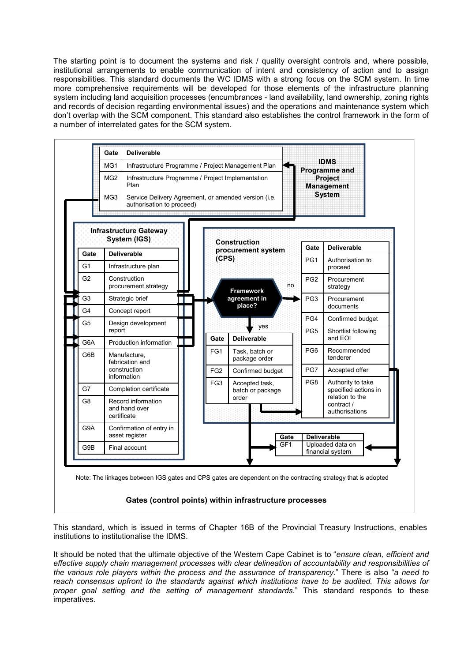The starting point is to document the systems and risk / quality oversight controls and, where possible, institutional arrangements to enable communication of intent and consistency of action and to assign responsibilities. This standard documents the WC IDMS with a strong focus on the SCM system. In time more comprehensive requirements will be developed for those elements of the infrastructure planning system including land acquisition processes (encumbrances - land availability, land ownership, zoning rights and records of decision regarding environmental issues) and the operations and maintenance system which don't overlap with the SCM component. This standard also establishes the control framework in the form of a number of interrelated gates for the SCM system.



# **Gates (control points) within infrastructure processes**

This standard, which is issued in terms of Chapter 16B of the Provincial Treasury Instructions, enables institutions to institutionalise the IDMS.

It should be noted that the ultimate objective of the Western Cape Cabinet is to "*ensure clean, efficient and effective supply chain management processes with clear delineation of accountability and responsibilities of the various role players within the process and the assurance of transparency*." There is also "*a need to reach consensus upfront to the standards against which institutions have to be audited. This allows for proper goal setting and the setting of management standards*." This standard responds to these imperatives.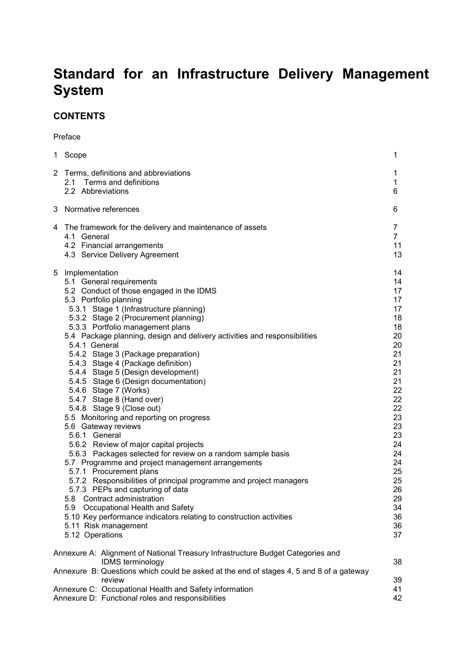# **Standard for an Infrastructure Delivery Management System**

# **CONTENTS**

Preface

|                       | 1 Scope                                                                                                                                                                                                                                                                                                                                                                                                                                                                                                                                                                                                                                                                                                                                                                                                                                                                                                                                                                                                                                                                                                                                                           | 1                                                                                                                                                                                |
|-----------------------|-------------------------------------------------------------------------------------------------------------------------------------------------------------------------------------------------------------------------------------------------------------------------------------------------------------------------------------------------------------------------------------------------------------------------------------------------------------------------------------------------------------------------------------------------------------------------------------------------------------------------------------------------------------------------------------------------------------------------------------------------------------------------------------------------------------------------------------------------------------------------------------------------------------------------------------------------------------------------------------------------------------------------------------------------------------------------------------------------------------------------------------------------------------------|----------------------------------------------------------------------------------------------------------------------------------------------------------------------------------|
| $\mathbf{2}^{\prime}$ | Terms, definitions and abbreviations<br>2.1 Terms and definitions<br>2.2 Abbreviations                                                                                                                                                                                                                                                                                                                                                                                                                                                                                                                                                                                                                                                                                                                                                                                                                                                                                                                                                                                                                                                                            | 1<br>1<br>6                                                                                                                                                                      |
| 3                     | Normative references                                                                                                                                                                                                                                                                                                                                                                                                                                                                                                                                                                                                                                                                                                                                                                                                                                                                                                                                                                                                                                                                                                                                              | 6                                                                                                                                                                                |
| 4                     | The framework for the delivery and maintenance of assets<br>4.1 General<br>4.2 Financial arrangements<br>4.3 Service Delivery Agreement                                                                                                                                                                                                                                                                                                                                                                                                                                                                                                                                                                                                                                                                                                                                                                                                                                                                                                                                                                                                                           | 7<br>$\overline{7}$<br>11<br>13                                                                                                                                                  |
| 5                     | Implementation<br>5.1 General requirements<br>5.2 Conduct of those engaged in the IDMS<br>5.3 Portfolio planning<br>5.3.1 Stage 1 (Infrastructure planning)<br>5.3.2 Stage 2 (Procurement planning)<br>5.3.3 Portfolio management plans<br>5.4 Package planning, design and delivery activities and responsibilities<br>5.4.1 General<br>5.4.2 Stage 3 (Package preparation)<br>5.4.3 Stage 4 (Package definition)<br>5.4.4 Stage 5 (Design development)<br>5.4.5 Stage 6 (Design documentation)<br>5.4.6 Stage 7 (Works)<br>5.4.7 Stage 8 (Hand over)<br>5.4.8 Stage 9 (Close out)<br>5.5 Monitoring and reporting on progress<br>5.6 Gateway reviews<br>5.6.1 General<br>5.6.2 Review of major capital projects<br>5.6.3 Packages selected for review on a random sample basis<br>5.7 Programme and project management arrangements<br>5.7.1 Procurement plans<br>5.7.2 Responsibilities of principal programme and project managers<br>5.7.3 PEPs and capturing of data<br>5.8 Contract administration<br>5.9 Occupational Health and Safety<br>5.10 Key performance indicators relating to construction activities<br>5.11 Risk management<br>5.12 Operations | 14<br>14<br>17<br>17<br>17<br>18<br>18<br>20<br>20<br>21<br>21<br>21<br>21<br>22<br>22<br>22<br>23<br>23<br>23<br>24<br>24<br>24<br>25<br>25<br>26<br>29<br>34<br>36<br>36<br>37 |
|                       | Annexure A: Alignment of National Treasury Infrastructure Budget Categories and                                                                                                                                                                                                                                                                                                                                                                                                                                                                                                                                                                                                                                                                                                                                                                                                                                                                                                                                                                                                                                                                                   |                                                                                                                                                                                  |
|                       | IDMS terminology<br>Annexure B: Questions which could be asked at the end of stages 4, 5 and 8 of a gateway                                                                                                                                                                                                                                                                                                                                                                                                                                                                                                                                                                                                                                                                                                                                                                                                                                                                                                                                                                                                                                                       | 38                                                                                                                                                                               |
|                       | review                                                                                                                                                                                                                                                                                                                                                                                                                                                                                                                                                                                                                                                                                                                                                                                                                                                                                                                                                                                                                                                                                                                                                            | 39                                                                                                                                                                               |
|                       | Annexure C: Occupational Health and Safety information<br>Annexure D: Functional roles and responsibilities                                                                                                                                                                                                                                                                                                                                                                                                                                                                                                                                                                                                                                                                                                                                                                                                                                                                                                                                                                                                                                                       | 41<br>42                                                                                                                                                                         |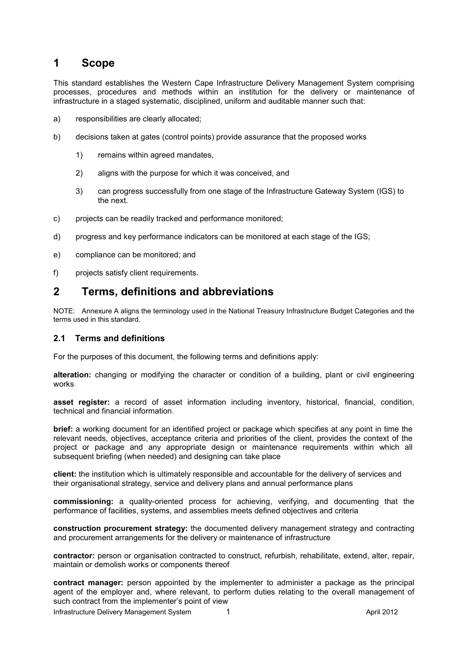# **1 Scope**

This standard establishes the Western Cape Infrastructure Delivery Management System comprising processes, procedures and methods within an institution for the delivery or maintenance of infrastructure in a staged systematic, disciplined, uniform and auditable manner such that:

- a) responsibilities are clearly allocated;
- b) decisions taken at gates (control points) provide assurance that the proposed works
	- 1) remains within agreed mandates,
	- 2) aligns with the purpose for which it was conceived, and
	- 3) can progress successfully from one stage of the Infrastructure Gateway System (IGS) to the next.
- c) projects can be readily tracked and performance monitored;
- d) progress and key performance indicators can be monitored at each stage of the IGS;
- e) compliance can be monitored; and
- f) projects satisfy client requirements.

# **2 Terms, definitions and abbreviations**

NOTE: Annexure A aligns the terminology used in the National Treasury Infrastructure Budget Categories and the terms used in this standard.

#### **2.1 Terms and definitions**

For the purposes of this document, the following terms and definitions apply:

**alteration:** changing or modifying the character or condition of a building, plant or civil engineering works

**asset register:** a record of asset information including inventory, historical, financial, condition, technical and financial information.

**brief:** a working document for an identified project or package which specifies at any point in time the relevant needs, objectives, acceptance criteria and priorities of the client, provides the context of the project or package and any appropriate design or maintenance requirements within which all subsequent briefing (when needed) and designing can take place

**client:** the institution which is ultimately responsible and accountable for the delivery of services and their organisational strategy, service and delivery plans and annual performance plans

**commissioning:** a quality-oriented process for achieving, verifying, and documenting that the performance of facilities, systems, and assemblies meets defined objectives and criteria

**construction procurement strategy:** the documented delivery management strategy and contracting and procurement arrangements for the delivery or maintenance of infrastructure

**contractor:** person or organisation contracted to construct, refurbish, rehabilitate, extend, alter, repair, maintain or demolish works or components thereof

**contract manager:** person appointed by the implementer to administer a package as the principal agent of the employer and, where relevant, to perform duties relating to the overall management of such contract from the implementer's point of view

Infrastructure Delivery Management System 1 and 1 April 2012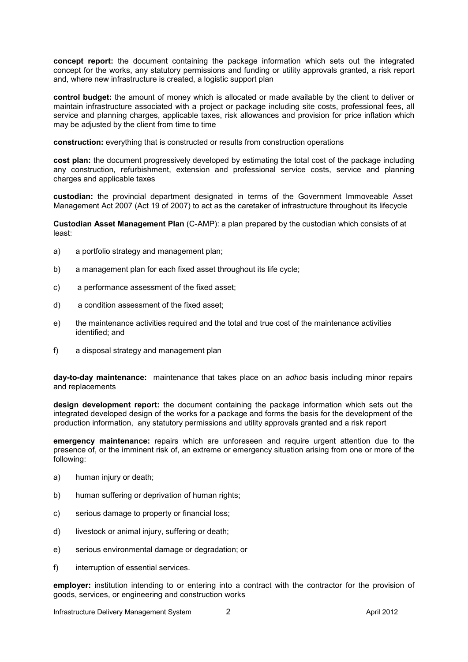**concept report:** the document containing the package information which sets out the integrated concept for the works, any statutory permissions and funding or utility approvals granted, a risk report and, where new infrastructure is created, a logistic support plan

**control budget:** the amount of money which is allocated or made available by the client to deliver or maintain infrastructure associated with a project or package including site costs, professional fees, all service and planning charges, applicable taxes, risk allowances and provision for price inflation which may be adjusted by the client from time to time

**construction:** everything that is constructed or results from construction operations

**cost plan:** the document progressively developed by estimating the total cost of the package including any construction, refurbishment, extension and professional service costs, service and planning charges and applicable taxes

**custodian:** the provincial department designated in terms of the Government Immoveable Asset Management Act 2007 (Act 19 of 2007) to act as the caretaker of infrastructure throughout its lifecycle

**Custodian Asset Management Plan** (C-AMP): a plan prepared by the custodian which consists of at least:

- a) a portfolio strategy and management plan;
- b) a management plan for each fixed asset throughout its life cycle;
- c) a performance assessment of the fixed asset;
- d) a condition assessment of the fixed asset;
- e) the maintenance activities required and the total and true cost of the maintenance activities identified; and
- f) a disposal strategy and management plan

**day-to-day maintenance:** maintenance that takes place on an *adhoc* basis including minor repairs and replacements

**design development report:** the document containing the package information which sets out the integrated developed design of the works for a package and forms the basis for the development of the production information, any statutory permissions and utility approvals granted and a risk report

**emergency maintenance:** repairs which are unforeseen and require urgent attention due to the presence of, or the imminent risk of, an extreme or emergency situation arising from one or more of the following:

- a) human injury or death;
- b) human suffering or deprivation of human rights;
- c) serious damage to property or financial loss;
- d) livestock or animal injury, suffering or death;
- e) serious environmental damage or degradation; or
- f) interruption of essential services.

**employer:** institution intending to or entering into a contract with the contractor for the provision of goods, services, or engineering and construction works

Infrastructure Delivery Management System 2 2 April 2012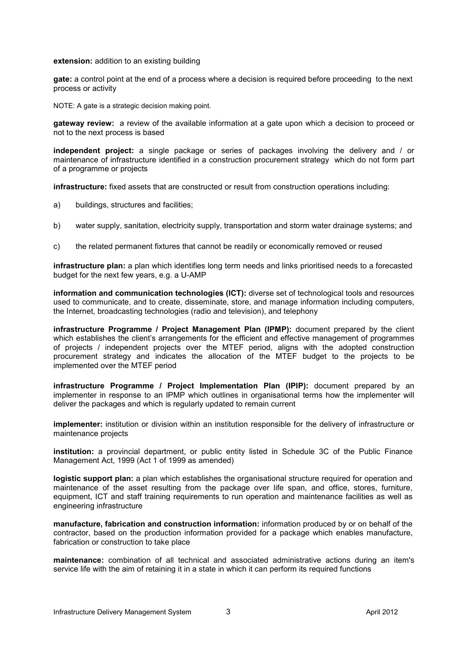#### **extension:** addition to an existing building

**gate:** a control point at the end of a process where a decision is required before proceeding to the next process or activity

NOTE: A gate is a strategic decision making point.

**gateway review:** a review of the available information at a gate upon which a decision to proceed or not to the next process is based

**independent project:** a single package or series of packages involving the delivery and / or maintenance of infrastructure identified in a construction procurement strategy which do not form part of a programme or projects

**infrastructure:** fixed assets that are constructed or result from construction operations including:

- a) buildings, structures and facilities;
- b) water supply, sanitation, electricity supply, transportation and storm water drainage systems; and
- c) the related permanent fixtures that cannot be readily or economically removed or reused

**infrastructure plan:** a plan which identifies long term needs and links prioritised needs to a forecasted budget for the next few years, e.g. a U-AMP

**information and communication technologies (ICT):** diverse set of technological tools and resources used to communicate, and to create, disseminate, store, and manage information including computers, the Internet, broadcasting technologies (radio and television), and telephony

**infrastructure Programme / Project Management Plan (IPMP):** document prepared by the client which establishes the client's arrangements for the efficient and effective management of programmes of projects / independent projects over the MTEF period, aligns with the adopted construction procurement strategy and indicates the allocation of the MTEF budget to the projects to be implemented over the MTEF period

**infrastructure Programme / Project Implementation Plan (IPIP):** document prepared by an implementer in response to an IPMP which outlines in organisational terms how the implementer will deliver the packages and which is regularly updated to remain current

**implementer:** institution or division within an institution responsible for the delivery of infrastructure or maintenance projects

**institution:** a provincial department, or public entity listed in Schedule 3C of the Public Finance Management Act, 1999 (Act 1 of 1999 as amended)

**logistic support plan:** a plan which establishes the organisational structure required for operation and maintenance of the asset resulting from the package over life span, and office, stores, furniture, equipment, ICT and staff training requirements to run operation and maintenance facilities as well as engineering infrastructure

**manufacture, fabrication and construction information:** information produced by or on behalf of the contractor, based on the production information provided for a package which enables manufacture, fabrication or construction to take place

**maintenance:** combination of all technical and associated administrative actions during an item's service life with the aim of retaining it in a state in which it can perform its required functions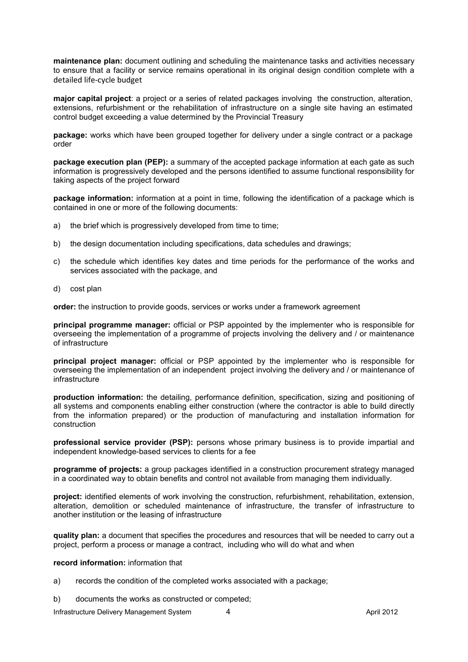**maintenance plan:** document outlining and scheduling the maintenance tasks and activities necessary to ensure that a facility or service remains operational in its original design condition complete with a detailed life-cycle budget

**major capital project**: a project or a series of related packages involving the construction, alteration, extensions, refurbishment or the rehabilitation of infrastructure on a single site having an estimated control budget exceeding a value determined by the Provincial Treasury

**package:** works which have been grouped together for delivery under a single contract or a package order

**package execution plan (PEP):** a summary of the accepted package information at each gate as such information is progressively developed and the persons identified to assume functional responsibility for taking aspects of the project forward

**package information:** information at a point in time, following the identification of a package which is contained in one or more of the following documents:

- a) the brief which is progressively developed from time to time;
- b) the design documentation including specifications, data schedules and drawings;
- c) the schedule which identifies key dates and time periods for the performance of the works and services associated with the package, and
- d) cost plan

**order:** the instruction to provide goods, services or works under a framework agreement

**principal programme manager:** official or PSP appointed by the implementer who is responsible for overseeing the implementation of a programme of projects involving the delivery and / or maintenance of infrastructure

**principal project manager:** official or PSP appointed by the implementer who is responsible for overseeing the implementation of an independent project involving the delivery and / or maintenance of infrastructure

**production information:** the detailing, performance definition, specification, sizing and positioning of all systems and components enabling either construction (where the contractor is able to build directly from the information prepared) or the production of manufacturing and installation information for construction

**professional service provider (PSP):** persons whose primary business is to provide impartial and independent knowledge-based services to clients for a fee

**programme of projects:** a group packages identified in a construction procurement strategy managed in a coordinated way to obtain benefits and control not available from managing them individually.

**project:** identified elements of work involving the construction, refurbishment, rehabilitation, extension, alteration, demolition or scheduled maintenance of infrastructure, the transfer of infrastructure to another institution or the leasing of infrastructure

**quality plan:** a document that specifies the procedures and resources that will be needed to carry out a project, perform a process or manage a contract, including who will do what and when

#### **record information:** information that

- a) records the condition of the completed works associated with a package;
- b) documents the works as constructed or competed;

Infrastructure Delivery Management System  $\overline{a}$  4 April 2012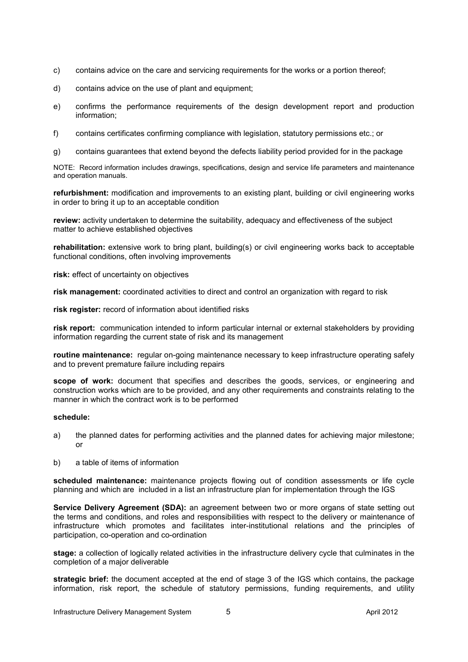- c) contains advice on the care and servicing requirements for the works or a portion thereof;
- d) contains advice on the use of plant and equipment;
- e) confirms the performance requirements of the design development report and production information;
- f) contains certificates confirming compliance with legislation, statutory permissions etc.; or
- g) contains guarantees that extend beyond the defects liability period provided for in the package

NOTE: Record information includes drawings, specifications, design and service life parameters and maintenance and operation manuals.

**refurbishment:** modification and improvements to an existing plant, building or civil engineering works in order to bring it up to an acceptable condition

**review:** activity undertaken to determine the suitability, adequacy and effectiveness of the subject matter to achieve established objectives

**rehabilitation:** extensive work to bring plant, building(s) or civil engineering works back to acceptable functional conditions, often involving improvements

**risk:** effect of uncertainty on objectives

**risk management:** coordinated activities to direct and control an organization with regard to risk

**risk register:** record of information about identified risks

**risk report:** communication intended to inform particular internal or external stakeholders by providing information regarding the current state of risk and its management

**routine maintenance:** regular on-going maintenance necessary to keep infrastructure operating safely and to prevent premature failure including repairs

**scope of work:** document that specifies and describes the goods, services, or engineering and construction works which are to be provided, and any other requirements and constraints relating to the manner in which the contract work is to be performed

#### **schedule:**

- a) the planned dates for performing activities and the planned dates for achieving major milestone; or
- b) a table of items of information

**scheduled maintenance:** maintenance projects flowing out of condition assessments or life cycle planning and which are included in a list an infrastructure plan for implementation through the IGS

**Service Delivery Agreement (SDA):** an agreement between two or more organs of state setting out the terms and conditions, and roles and responsibilities with respect to the delivery or maintenance of infrastructure which promotes and facilitates inter-institutional relations and the principles of participation, co-operation and co-ordination

**stage:** a collection of logically related activities in the infrastructure delivery cycle that culminates in the completion of a major deliverable

**strategic brief:** the document accepted at the end of stage 3 of the IGS which contains, the package information, risk report, the schedule of statutory permissions, funding requirements, and utility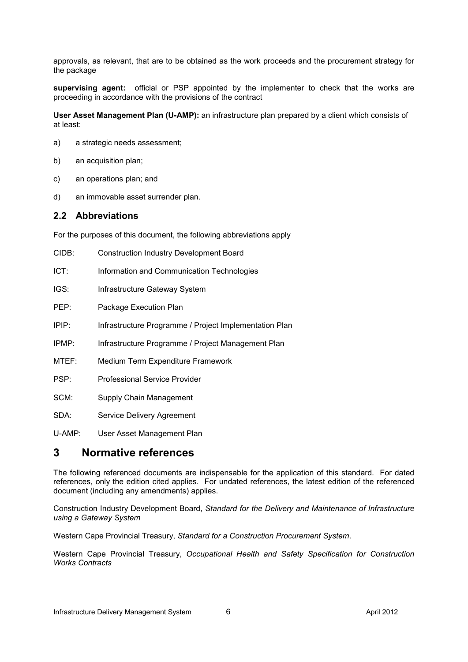approvals, as relevant, that are to be obtained as the work proceeds and the procurement strategy for the package

**supervising agent:** official or PSP appointed by the implementer to check that the works are proceeding in accordance with the provisions of the contract

**User Asset Management Plan (U-AMP):** an infrastructure plan prepared by a client which consists of at least:

- a) a strategic needs assessment;
- b) an acquisition plan;
- c) an operations plan; and
- d) an immovable asset surrender plan.

### **2.2 Abbreviations**

For the purposes of this document, the following abbreviations apply

| CIDB:    | <b>Construction Industry Development Board</b>         |
|----------|--------------------------------------------------------|
| ICT:     | Information and Communication Technologies             |
| IGS:     | Infrastructure Gateway System                          |
| PEP:     | Package Execution Plan                                 |
| $IPIP$ : | Infrastructure Programme / Project Implementation Plan |
| IPMP:    | Infrastructure Programme / Project Management Plan     |
| MTEF:    | Medium Term Expenditure Framework                      |
| PSP:     | Professional Service Provider                          |
| SCM:     | Supply Chain Management                                |
| SDA:     | <b>Service Delivery Agreement</b>                      |
|          |                                                        |

U-AMP: User Asset Management Plan

# **3 Normative references**

The following referenced documents are indispensable for the application of this standard. For dated references, only the edition cited applies. For undated references, the latest edition of the referenced document (including any amendments) applies.

Construction Industry Development Board, *Standard for the Delivery and Maintenance of Infrastructure using a Gateway System* 

Western Cape Provincial Treasury, *Standard for a Construction Procurement System*.

Western Cape Provincial Treasury, *Occupational Health and Safety Specification for Construction Works Contracts*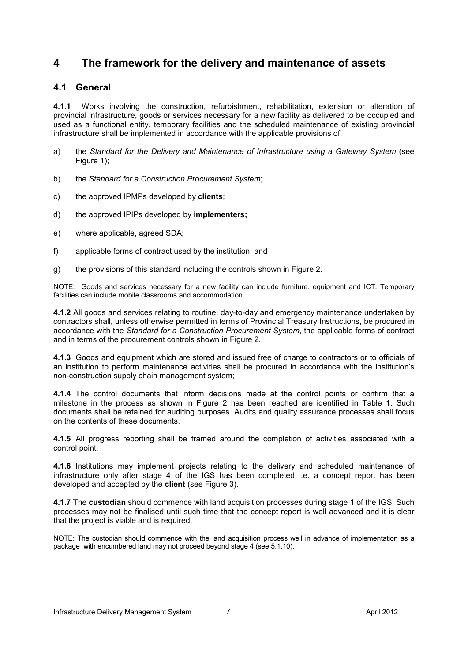# **4 The framework for the delivery and maintenance of assets**

# **4.1 General**

**4.1.1** Works involving the construction, refurbishment, rehabilitation, extension or alteration of provincial infrastructure, goods or services necessary for a new facility as delivered to be occupied and used as a functional entity, temporary facilities and the scheduled maintenance of existing provincial infrastructure shall be implemented in accordance with the applicable provisions of:

- a) the *Standard for the Delivery and Maintenance of Infrastructure using a Gateway System (see* Figure 1);
- b) the *Standard for a Construction Procurement System*;
- c) the approved IPMPs developed by **clients**;
- d) the approved IPIPs developed by **implementers;**
- e) where applicable, agreed SDA;
- f) applicable forms of contract used by the institution; and
- g) the provisions of this standard including the controls shown in Figure 2.

NOTE:Goods and services necessary for a new facility can include furniture, equipment and ICT. Temporary facilities can include mobile classrooms and accommodation.

**4.1.2** All goods and services relating to routine, day-to-day and emergency maintenance undertaken by contractors shall, unless otherwise permitted in terms of Provincial Treasury Instructions, be procured in accordance with the *Standard for a Construction Procurement System*, the applicable forms of contract and in terms of the procurement controls shown in Figure 2.

**4.1.3** Goods and equipment which are stored and issued free of charge to contractors or to officials of an institution to perform maintenance activities shall be procured in accordance with the institution's non-construction supply chain management system;

**4.1.4** The control documents that inform decisions made at the control points or confirm that a milestone in the process as shown in Figure 2 has been reached are identified in Table 1. Such documents shall be retained for auditing purposes. Audits and quality assurance processes shall focus on the contents of these documents.

**4.1.5** All progress reporting shall be framed around the completion of activities associated with a control point.

**4.1.6** Institutions may implement projects relating to the delivery and scheduled maintenance of infrastructure only after stage 4 of the IGS has been completed i.e. a concept report has been developed and accepted by the **client** (see Figure 3).

**4.1.7** The **custodian** should commence with land acquisition processes during stage 1 of the IGS. Such processes may not be finalised until such time that the concept report is well advanced and it is clear that the project is viable and is required.

NOTE: The custodian should commence with the land acquisition process well in advance of implementation as a package with encumbered land may not proceed beyond stage 4 (see 5.1.10).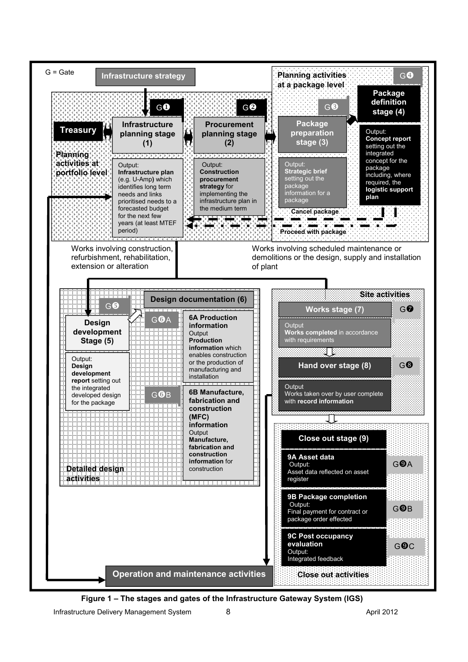

**Figure 1 – The stages and gates of the Infrastructure Gateway System (IGS)**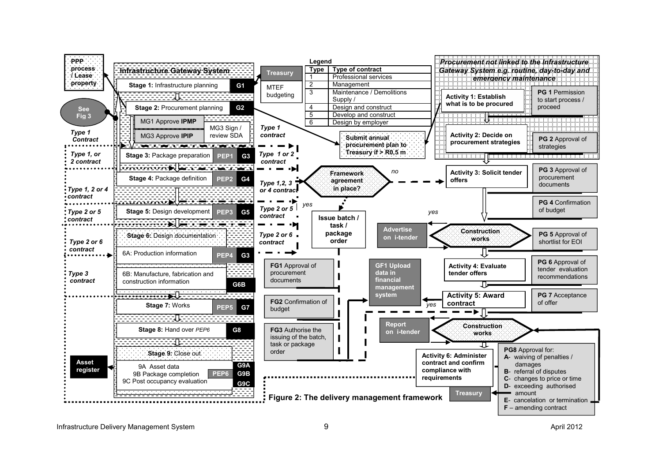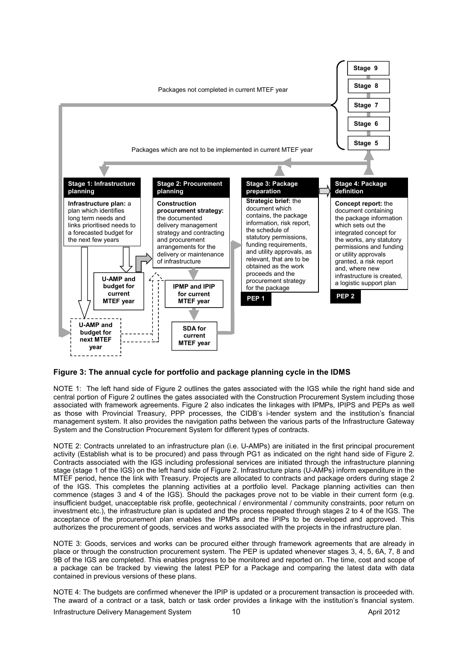

#### **Figure 3: The annual cycle for portfolio and package planning cycle in the IDMS**

NOTE 1: The left hand side of Figure 2 outlines the gates associated with the IGS while the right hand side and central portion of Figure 2 outlines the gates associated with the Construction Procurement System including those associated with framework agreements. Figure 2 also indicates the linkages with IPMPs, IPIPS and PEPs as well as those with Provincial Treasury, PPP processes, the CIDB's i-tender system and the institution's financial management system. It also provides the navigation paths between the various parts of the Infrastructure Gateway System and the Construction Procurement System for different types of contracts.

NOTE 2: Contracts unrelated to an infrastructure plan (i.e. U-AMPs) are initiated in the first principal procurement activity (Establish what is to be procured) and pass through PG1 as indicated on the right hand side of Figure 2. Contracts associated with the IGS including professional services are initiated through the infrastructure planning stage (stage 1 of the IGS) on the left hand side of Figure 2. Infrastructure plans (U-AMPs) inform expenditure in the MTEF period, hence the link with Treasury. Projects are allocated to contracts and package orders during stage 2 of the IGS. This completes the planning activities at a portfolio level. Package planning activities can then commence (stages 3 and 4 of the IGS). Should the packages prove not to be viable in their current form (e.g. insufficient budget, unacceptable risk profile, geotechnical / environmental / community constraints, poor return on investment etc.), the infrastructure plan is updated and the process repeated through stages 2 to 4 of the IGS. The acceptance of the procurement plan enables the IPMPs and the IPIPs to be developed and approved. This authorizes the procurement of goods, services and works associated with the projects in the infrastructure plan.

NOTE 3: Goods, services and works can be procured either through framework agreements that are already in place or through the construction procurement system. The PEP is updated whenever stages 3, 4, 5, 6A, 7, 8 and 9B of the IGS are completed. This enables progress to be monitored and reported on. The time, cost and scope of a package can be tracked by viewing the latest PEP for a Package and comparing the latest data with data contained in previous versions of these plans.

NOTE 4: The budgets are confirmed whenever the IPIP is updated or a procurement transaction is proceeded with. The award of a contract or a task, batch or task order provides a linkage with the institution's financial system.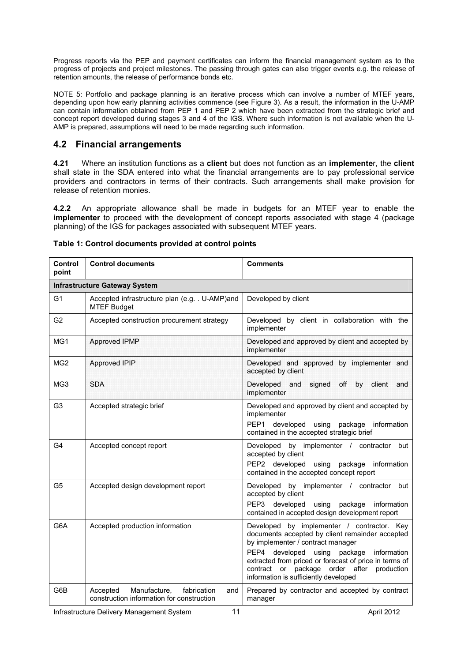Progress reports via the PEP and payment certificates can inform the financial management system as to the progress of projects and project milestones. The passing through gates can also trigger events e.g. the release of retention amounts, the release of performance bonds etc.

NOTE 5: Portfolio and package planning is an iterative process which can involve a number of MTEF years, depending upon how early planning activities commence (see Figure 3). As a result, the information in the U-AMP can contain information obtained from PEP 1 and PEP 2 which have been extracted from the strategic brief and concept report developed during stages 3 and 4 of the IGS. Where such information is not available when the U-AMP is prepared, assumptions will need to be made regarding such information.

# **4.2 Financial arrangements**

**4.21** Where an institution functions as a **client** but does not function as an **implemente**r, the **client**  shall state in the SDA entered into what the financial arrangements are to pay professional service providers and contractors in terms of their contracts. Such arrangements shall make provision for release of retention monies.

**4.2.2** An appropriate allowance shall be made in budgets for an MTEF year to enable the **implementer** to proceed with the development of concept reports associated with stage 4 (package planning) of the IGS for packages associated with subsequent MTEF years.

| Control<br>point                     | <b>Control documents</b>                                                                    | <b>Comments</b>                                                                                                                                                                                                                                                                                                                                |  |  |  |  |
|--------------------------------------|---------------------------------------------------------------------------------------------|------------------------------------------------------------------------------------------------------------------------------------------------------------------------------------------------------------------------------------------------------------------------------------------------------------------------------------------------|--|--|--|--|
| <b>Infrastructure Gateway System</b> |                                                                                             |                                                                                                                                                                                                                                                                                                                                                |  |  |  |  |
| G <sub>1</sub>                       | Accepted infrastructure plan (e.g. . U-AMP)and<br><b>MTEF Budget</b>                        | Developed by client                                                                                                                                                                                                                                                                                                                            |  |  |  |  |
| G <sub>2</sub>                       | Accepted construction procurement strategy                                                  | Developed by client in collaboration with the<br>implementer                                                                                                                                                                                                                                                                                   |  |  |  |  |
| MG1                                  | Approved IPMP                                                                               | Developed and approved by client and accepted by<br>implementer                                                                                                                                                                                                                                                                                |  |  |  |  |
| MG <sub>2</sub>                      | Approved IPIP                                                                               | Developed and approved by implementer and<br>accepted by client                                                                                                                                                                                                                                                                                |  |  |  |  |
| MG3                                  | <b>SDA</b>                                                                                  | Developed<br>signed<br>off<br>by<br>client<br>and<br>and<br>implementer                                                                                                                                                                                                                                                                        |  |  |  |  |
| G <sub>3</sub>                       | Accepted strategic brief                                                                    | Developed and approved by client and accepted by<br>implementer<br>PEP1 developed using package information<br>contained in the accepted strategic brief                                                                                                                                                                                       |  |  |  |  |
| G4                                   | Accepted concept report                                                                     | Developed by implementer / contractor<br>but<br>accepted by client<br>PEP2 developed using<br>package<br>information<br>contained in the accepted concept report                                                                                                                                                                               |  |  |  |  |
| G <sub>5</sub>                       | Accepted design development report                                                          | Developed by implementer / contractor but<br>accepted by client<br>PEP3 developed<br>using<br>package<br>information<br>contained in accepted design development report                                                                                                                                                                        |  |  |  |  |
| G6A                                  | Accepted production information                                                             | Developed by implementer / contractor. Key<br>documents accepted by client remainder accepted<br>by implementer / contract manager<br>PEP4 developed<br>using<br>package<br>information<br>extracted from priced or forecast of price in terms of<br>contract or<br>package order after<br>production<br>information is sufficiently developed |  |  |  |  |
| G6B                                  | Manufacture,<br>fabrication<br>Accepted<br>and<br>construction information for construction | Prepared by contractor and accepted by contract<br>manager                                                                                                                                                                                                                                                                                     |  |  |  |  |

### **Table 1: Control documents provided at control points**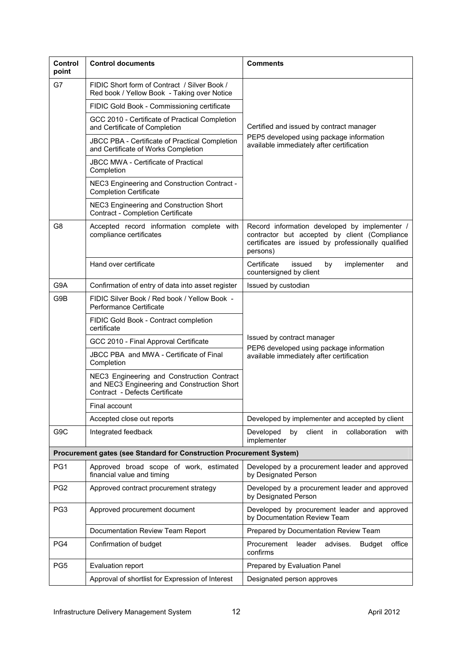| <b>Control</b><br>point | <b>Control documents</b>                                                                                                    | <b>Comments</b>                                                                                                                                                   |  |  |  |
|-------------------------|-----------------------------------------------------------------------------------------------------------------------------|-------------------------------------------------------------------------------------------------------------------------------------------------------------------|--|--|--|
| G7                      | FIDIC Short form of Contract / Silver Book /<br>Red book / Yellow Book - Taking over Notice                                 |                                                                                                                                                                   |  |  |  |
|                         | FIDIC Gold Book - Commissioning certificate                                                                                 |                                                                                                                                                                   |  |  |  |
|                         | GCC 2010 - Certificate of Practical Completion<br>and Certificate of Completion                                             | Certified and issued by contract manager                                                                                                                          |  |  |  |
|                         | <b>JBCC PBA - Certificate of Practical Completion</b><br>and Certificate of Works Completion                                | PEP5 developed using package information<br>available immediately after certification                                                                             |  |  |  |
|                         | <b>JBCC MWA - Certificate of Practical</b><br>Completion                                                                    |                                                                                                                                                                   |  |  |  |
|                         | NEC3 Engineering and Construction Contract -<br><b>Completion Certificate</b>                                               |                                                                                                                                                                   |  |  |  |
|                         | NEC3 Engineering and Construction Short<br>Contract - Completion Certificate                                                |                                                                                                                                                                   |  |  |  |
| G8                      | Accepted record information complete with<br>compliance certificates                                                        | Record information developed by implementer /<br>contractor but accepted by client (Compliance<br>certificates are issued by professionally qualified<br>persons) |  |  |  |
|                         | Hand over certificate                                                                                                       | Certificate<br>issued<br>implementer<br>by<br>and<br>countersigned by client                                                                                      |  |  |  |
| G9A                     | Confirmation of entry of data into asset register                                                                           | Issued by custodian                                                                                                                                               |  |  |  |
| G9B                     | FIDIC Silver Book / Red book / Yellow Book -<br>Performance Certificate                                                     |                                                                                                                                                                   |  |  |  |
|                         | FIDIC Gold Book - Contract completion<br>certificate                                                                        |                                                                                                                                                                   |  |  |  |
|                         | GCC 2010 - Final Approval Certificate                                                                                       | Issued by contract manager<br>PEP6 developed using package information                                                                                            |  |  |  |
|                         | JBCC PBA and MWA - Certificate of Final<br>Completion                                                                       | available immediately after certification                                                                                                                         |  |  |  |
|                         | NEC3 Engineering and Construction Contract<br>and NEC3 Engineering and Construction Short<br>Contract - Defects Certificate |                                                                                                                                                                   |  |  |  |
|                         | Final account                                                                                                               |                                                                                                                                                                   |  |  |  |
|                         | Accepted close out reports                                                                                                  | Developed by implementer and accepted by client                                                                                                                   |  |  |  |
| G <sub>9</sub> C        | Integrated feedback                                                                                                         | Developed<br>client<br>collaboration<br>by<br>in.<br>with<br>implementer                                                                                          |  |  |  |
|                         | Procurement gates (see Standard for Construction Procurement System)                                                        |                                                                                                                                                                   |  |  |  |
| PG <sub>1</sub>         | Approved broad scope of work, estimated<br>financial value and timing                                                       | Developed by a procurement leader and approved<br>by Designated Person                                                                                            |  |  |  |
| PG <sub>2</sub>         | Approved contract procurement strategy                                                                                      | Developed by a procurement leader and approved<br>by Designated Person                                                                                            |  |  |  |
| PG3                     | Approved procurement document                                                                                               | Developed by procurement leader and approved<br>by Documentation Review Team                                                                                      |  |  |  |
|                         | Documentation Review Team Report                                                                                            | Prepared by Documentation Review Team                                                                                                                             |  |  |  |
| PG4                     | Confirmation of budget                                                                                                      | Procurement<br>leader<br>advises.<br>office<br><b>Budget</b><br>confirms                                                                                          |  |  |  |
| PG <sub>5</sub>         | Evaluation report                                                                                                           | Prepared by Evaluation Panel                                                                                                                                      |  |  |  |
|                         | Approval of shortlist for Expression of Interest                                                                            | Designated person approves                                                                                                                                        |  |  |  |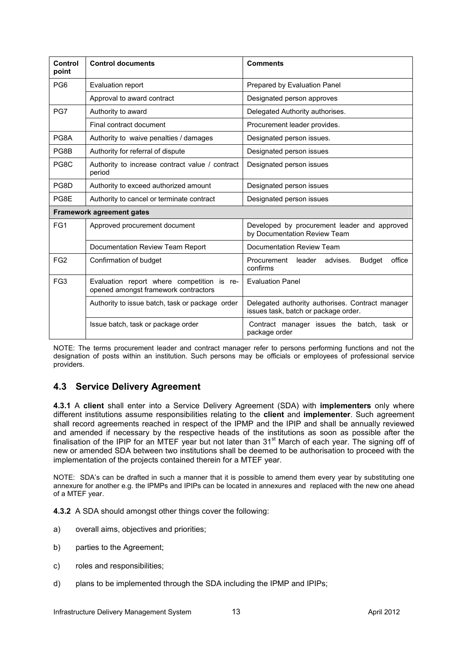| Control<br>point | <b>Control documents</b>                                                           | <b>Comments</b>                                                                          |  |  |
|------------------|------------------------------------------------------------------------------------|------------------------------------------------------------------------------------------|--|--|
| PG <sub>6</sub>  | Evaluation report                                                                  | Prepared by Evaluation Panel                                                             |  |  |
|                  | Approval to award contract                                                         | Designated person approves                                                               |  |  |
| PG7              | Authority to award                                                                 | Delegated Authority authorises.                                                          |  |  |
|                  | Final contract document                                                            | Procurement leader provides.                                                             |  |  |
| PG8A             | Authority to waive penalties / damages                                             | Designated person issues.                                                                |  |  |
| PG8B             | Authority for referral of dispute                                                  | Designated person issues                                                                 |  |  |
| PG8C             | Authority to increase contract value / contract<br>period                          | Designated person issues                                                                 |  |  |
| PG8D             | Authority to exceed authorized amount                                              | Designated person issues                                                                 |  |  |
| PG8E             | Authority to cancel or terminate contract                                          | Designated person issues                                                                 |  |  |
|                  | <b>Framework agreement gates</b>                                                   |                                                                                          |  |  |
| FG <sub>1</sub>  | Approved procurement document                                                      | Developed by procurement leader and approved<br>by Documentation Review Team             |  |  |
|                  | Documentation Review Team Report                                                   | Documentation Review Team                                                                |  |  |
| FG <sub>2</sub>  | Confirmation of budget                                                             | <b>Budget</b><br>office<br>Procurement<br>leader<br>advises.<br>confirms                 |  |  |
| FG <sub>3</sub>  | Evaluation report where competition is re-<br>opened amongst framework contractors | <b>Evaluation Panel</b>                                                                  |  |  |
|                  | Authority to issue batch, task or package order                                    | Delegated authority authorises. Contract manager<br>issues task, batch or package order. |  |  |
|                  | Issue batch, task or package order                                                 | Contract manager issues the batch, task or<br>package order                              |  |  |

NOTE: The terms procurement leader and contract manager refer to persons performing functions and not the designation of posts within an institution. Such persons may be officials or employees of professional service providers.

# **4.3 Service Delivery Agreement**

**4.3.1** A **client** shall enter into a Service Delivery Agreement (SDA) with **implementers** only where different institutions assume responsibilities relating to the **client** and **implementer**. Such agreement shall record agreements reached in respect of the IPMP and the IPIP and shall be annually reviewed and amended if necessary by the respective heads of the institutions as soon as possible after the finalisation of the IPIP for an MTEF year but not later than 31<sup>st</sup> March of each year. The signing off of new or amended SDA between two institutions shall be deemed to be authorisation to proceed with the implementation of the projects contained therein for a MTEF year.

NOTE: SDA's can be drafted in such a manner that it is possible to amend them every year by substituting one annexure for another e.g. the IPMPs and IPIPs can be located in annexures and replaced with the new one ahead of a MTEF year.

**4.3.2** A SDA should amongst other things cover the following:

- a) overall aims, objectives and priorities;
- b) parties to the Agreement;
- c) roles and responsibilities;
- d) plans to be implemented through the SDA including the IPMP and IPIPs;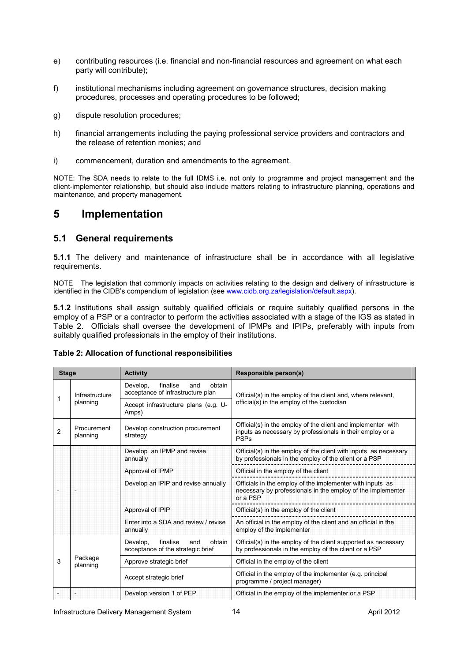- e) contributing resources (i.e. financial and non-financial resources and agreement on what each party will contribute);
- f) institutional mechanisms including agreement on governance structures, decision making procedures, processes and operating procedures to be followed;
- g) dispute resolution procedures;
- h) financial arrangements including the paying professional service providers and contractors and the release of retention monies; and
- i) commencement, duration and amendments to the agreement.

NOTE: The SDA needs to relate to the full IDMS i.e. not only to programme and project management and the client-implementer relationship, but should also include matters relating to infrastructure planning, operations and maintenance, and property management.

# **5 Implementation**

# **5.1 General requirements**

**5.1.1** The delivery and maintenance of infrastructure shall be in accordance with all legislative requirements.

NOTE The legislation that commonly impacts on activities relating to the design and delivery of infrastructure is identified in the CIDB's compendium of legislation (see www.cidb.org.za/legislation/default.aspx).

**5.1.2** Institutions shall assign suitably qualified officials or require suitably qualified persons in the employ of a PSP or a contractor to perform the activities associated with a stage of the IGS as stated in Table 2. Officials shall oversee the development of IPMPs and IPIPs, preferably with inputs from suitably qualified professionals in the employ of their institutions.

|  |  |  | Table 2: Allocation of functional responsibilities |
|--|--|--|----------------------------------------------------|
|--|--|--|----------------------------------------------------|

| <b>Stage</b>   |                         | <b>Activity</b>                                                            | Responsible person(s)                                                                                                                    |  |  |
|----------------|-------------------------|----------------------------------------------------------------------------|------------------------------------------------------------------------------------------------------------------------------------------|--|--|
|                | Infrastructure          | Develop,<br>finalise<br>and<br>obtain<br>acceptance of infrastructure plan | Official(s) in the employ of the client and, where relevant,                                                                             |  |  |
|                | planning                | Accept infrastructure plans (e.g. U-<br>Amps)                              | official(s) in the employ of the custodian                                                                                               |  |  |
| $\mathfrak{p}$ | Procurement<br>planning | Develop construction procurement<br>strategy                               | Official(s) in the employ of the client and implementer with<br>inputs as necessary by professionals in their employ or a<br><b>PSPs</b> |  |  |
|                |                         | Develop an IPMP and revise<br>annually                                     | Official(s) in the employ of the client with inputs as necessary<br>by professionals in the employ of the client or a PSP                |  |  |
|                |                         | Approval of IPMP                                                           | Official in the employ of the client                                                                                                     |  |  |
|                |                         | Develop an IPIP and revise annually                                        | Officials in the employ of the implementer with inputs as<br>necessary by professionals in the employ of the implementer<br>or a PSP     |  |  |
|                |                         | Approval of IPIP                                                           | Official(s) in the employ of the client                                                                                                  |  |  |
|                |                         | Enter into a SDA and review / revise<br>annually                           | An official in the employ of the client and an official in the<br>employ of the implementer                                              |  |  |
|                |                         | Develop,<br>finalise<br>and<br>obtain<br>acceptance of the strategic brief | Official(s) in the employ of the client supported as necessary<br>by professionals in the employ of the client or a PSP                  |  |  |
| 3              | Package<br>planning     | Approve strategic brief                                                    | Official in the employ of the client                                                                                                     |  |  |
|                |                         | Accept strategic brief                                                     | Official in the employ of the implementer (e.g. principal<br>programme / project manager)                                                |  |  |
|                |                         | Develop version 1 of PEP                                                   | Official in the employ of the implementer or a PSP                                                                                       |  |  |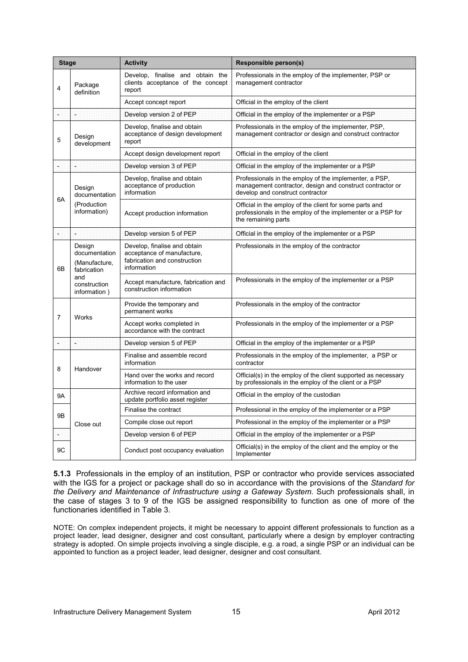| <b>Stage</b>   |                                                         | <b>Activity</b>                                                                                           | <b>Responsible person(s)</b>                                                                                                                            |
|----------------|---------------------------------------------------------|-----------------------------------------------------------------------------------------------------------|---------------------------------------------------------------------------------------------------------------------------------------------------------|
| $\overline{4}$ | Package<br>definition                                   | Develop, finalise and obtain the<br>clients acceptance of the concept<br>report                           | Professionals in the employ of the implementer, PSP or<br>management contractor                                                                         |
|                |                                                         | Accept concept report                                                                                     | Official in the employ of the client                                                                                                                    |
| ÷              | H                                                       | Develop version 2 of PEP                                                                                  | Official in the employ of the implementer or a PSP                                                                                                      |
| 5              | Design<br>development                                   | Develop, finalise and obtain<br>acceptance of design development<br>report                                | Professionals in the employ of the implementer, PSP,<br>management contractor or design and construct contractor                                        |
|                |                                                         | Accept design development report                                                                          | Official in the employ of the client                                                                                                                    |
| ÷              | Ħ,                                                      | Develop version 3 of PEP                                                                                  | Official in the employ of the implementer or a PSP                                                                                                      |
|                | Design<br>documentation                                 | Develop, finalise and obtain<br>acceptance of production<br>information                                   | Professionals in the employ of the implementer, a PSP,<br>management contractor, design and construct contractor or<br>develop and construct contractor |
| 6A             | (Production<br>information)                             | Accept production information                                                                             | Official in the employ of the client for some parts and<br>professionals in the employ of the implementer or a PSP for<br>the remaining parts           |
|                | ч                                                       | Develop version 5 of PEP                                                                                  | Official in the employ of the implementer or a PSP                                                                                                      |
| 6B             | Design<br>documentation<br>(Manufacture,<br>fabrication | Develop, finalise and obtain<br>acceptance of manufacture.<br>fabrication and construction<br>information | Professionals in the employ of the contractor                                                                                                           |
|                | and<br>construction<br>information)                     | Accept manufacture, fabrication and<br>construction information                                           | Professionals in the employ of the implementer or a PSP                                                                                                 |
| $\overline{7}$ | Works                                                   | Provide the temporary and<br>permanent works                                                              | Professionals in the employ of the contractor                                                                                                           |
|                |                                                         | Accept works completed in<br>accordance with the contract                                                 | Professionals in the employ of the implementer or a PSP                                                                                                 |
|                | 냨                                                       | Develop version 5 of PEP                                                                                  | Official in the employ of the implementer or a PSP                                                                                                      |
| 8              |                                                         | Finalise and assemble record<br>information                                                               | Professionals in the employ of the implementer, a PSP or<br>contractor                                                                                  |
|                | Handover                                                | Hand over the works and record<br>information to the user                                                 | Official(s) in the employ of the client supported as necessary<br>by professionals in the employ of the client or a PSP                                 |
| 9Α             |                                                         | Archive record information and<br>update portfolio asset register                                         | Official in the employ of the custodian                                                                                                                 |
| 9Β             |                                                         | Finalise the contract                                                                                     | Professional in the employ of the implementer or a PSP                                                                                                  |
|                | Close out                                               | Compile close out report                                                                                  | Professional in the employ of the implementer or a PSP                                                                                                  |
| ÷              |                                                         | Develop version 6 of PEP                                                                                  | Official in the employ of the implementer or a PSP                                                                                                      |
| 9C             |                                                         | Conduct post occupancy evaluation                                                                         | Official(s) in the employ of the client and the employ or the<br>Implementer                                                                            |

**5.1.3** Professionals in the employ of an institution, PSP or contractor who provide services associated with the IGS for a project or package shall do so in accordance with the provisions of the *Standard for the Delivery and Maintenance of Infrastructure using a Gateway System.* Such professionals shall, in the case of stages 3 to 9 of the IGS be assigned responsibility to function as one of more of the functionaries identified in Table 3.

NOTE: On complex independent projects, it might be necessary to appoint different professionals to function as a project leader, lead designer, designer and cost consultant, particularly where a design by employer contracting strategy is adopted. On simple projects involving a single disciple, e.g. a road, a single PSP or an individual can be appointed to function as a project leader, lead designer, designer and cost consultant.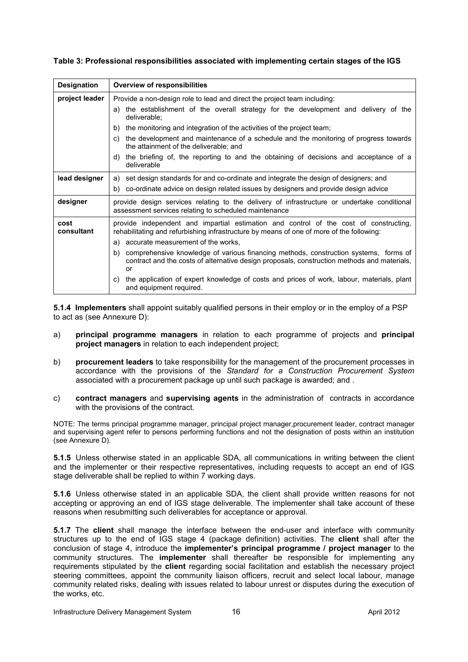| <b>Designation</b> | Overview of responsibilities                                                                                                                                                                    |  |  |  |  |  |  |
|--------------------|-------------------------------------------------------------------------------------------------------------------------------------------------------------------------------------------------|--|--|--|--|--|--|
| project leader     | Provide a non-design role to lead and direct the project team including:                                                                                                                        |  |  |  |  |  |  |
|                    | the establishment of the overall strategy for the development and delivery of the<br>a)<br>deliverable;                                                                                         |  |  |  |  |  |  |
|                    | the monitoring and integration of the activities of the project team;<br>b)                                                                                                                     |  |  |  |  |  |  |
|                    | the development and maintenance of a schedule and the monitoring of progress towards<br>C)<br>the attainment of the deliverable: and                                                            |  |  |  |  |  |  |
|                    | the briefing of, the reporting to and the obtaining of decisions and acceptance of a<br>d)<br>deliverable                                                                                       |  |  |  |  |  |  |
| lead designer      | a) set design standards for and co-ordinate and integrate the design of designers; and                                                                                                          |  |  |  |  |  |  |
|                    | b) co-ordinate advice on design related issues by designers and provide design advice                                                                                                           |  |  |  |  |  |  |
| designer           | provide design services relating to the delivery of infrastructure or undertake conditional<br>assessment services relating to scheduled maintenance                                            |  |  |  |  |  |  |
| cost<br>consultant | provide independent and impartial estimation and control of the cost of constructing,<br>rehabilitating and refurbishing infrastructure by means of one of more of the following:               |  |  |  |  |  |  |
|                    | accurate measurement of the works,<br>a)                                                                                                                                                        |  |  |  |  |  |  |
|                    | comprehensive knowledge of various financing methods, construction systems, forms of<br>b)<br>contract and the costs of alternative design proposals, construction methods and materials,<br>or |  |  |  |  |  |  |
|                    | the application of expert knowledge of costs and prices of work, labour, materials, plant<br>C)<br>and equipment required.                                                                      |  |  |  |  |  |  |

**Table 3: Professional responsibilities associated with implementing certain stages of the IGS** 

**5.1.4 Implementers** shall appoint suitably qualified persons in their employ or in the employ of a PSP to act as (see Annexure D):

- a) **principal programme managers** in relation to each programme of projects and **principal project managers** in relation to each independent project;
- b) **procurement leaders** to take responsibility for the management of the procurement processes in accordance with the provisions of the *Standard for a Construction Procurement System* associated with a procurement package up until such package is awarded; and .
- c) **contract managers** and **supervising agents** in the administration of contracts in accordance with the provisions of the contract.

NOTE: The terms principal programme manager, principal project manager,procurement leader, contract manager and supervising agent refer to persons performing functions and not the designation of posts within an institution (see Annexure D).

**5.1.5** Unless otherwise stated in an applicable SDA, all communications in writing between the client and the implementer or their respective representatives, including requests to accept an end of IGS stage deliverable shall be replied to within 7 working days.

**5.1.6** Unless otherwise stated in an applicable SDA, the client shall provide written reasons for not accepting or approving an end of IGS stage deliverable. The implementer shall take account of these reasons when resubmitting such deliverables for acceptance or approval.

**5.1.7** The **client** shall manage the interface between the end-user and interface with community structures up to the end of IGS stage 4 (package definition) activities. The **client** shall after the conclusion of stage 4, introduce the **implementer's principal programme / project manager** to the community structures. The **implementer** shall thereafter be responsible for implementing any requirements stipulated by the **client** regarding social facilitation and establish the necessary project steering committees, appoint the community liaison officers, recruit and select local labour, manage community related risks, dealing with issues related to labour unrest or disputes during the execution of the works, etc.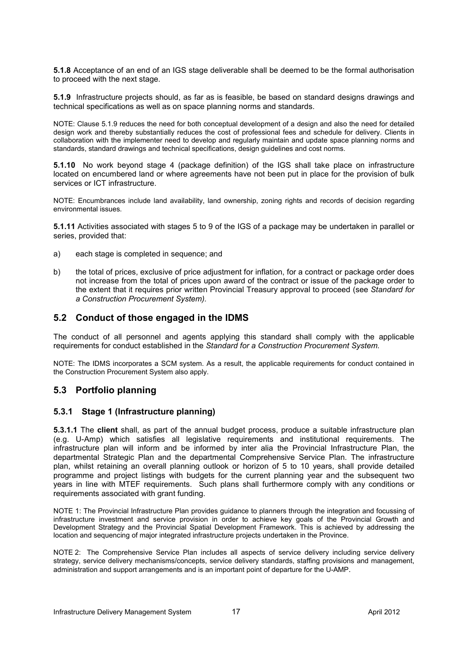**5.1.8** Acceptance of an end of an IGS stage deliverable shall be deemed to be the formal authorisation to proceed with the next stage.

**5.1.9** Infrastructure projects should, as far as is feasible, be based on standard designs drawings and technical specifications as well as on space planning norms and standards.

NOTE: Clause 5.1.9 reduces the need for both conceptual development of a design and also the need for detailed design work and thereby substantially reduces the cost of professional fees and schedule for delivery. Clients in collaboration with the implementer need to develop and regularly maintain and update space planning norms and standards, standard drawings and technical specifications, design guidelines and cost norms.

**5.1.10** No work beyond stage 4 (package definition) of the IGS shall take place on infrastructure located on encumbered land or where agreements have not been put in place for the provision of bulk services or ICT infrastructure.

NOTE: Encumbrances include land availability, land ownership, zoning rights and records of decision regarding environmental issues.

**5.1.11** Activities associated with stages 5 to 9 of the IGS of a package may be undertaken in parallel or series, provided that:

- a) each stage is completed in sequence; and
- b) the total of prices, exclusive of price adjustment for inflation, for a contract or package order does not increase from the total of prices upon award of the contract or issue of the package order to the extent that it requires prior written Provincial Treasury approval to proceed (see *Standard for a Construction Procurement System).*

# **5.2 Conduct of those engaged in the IDMS**

The conduct of all personnel and agents applying this standard shall comply with the applicable requirements for conduct established in the *Standard for a Construction Procurement System.*

NOTE: The IDMS incorporates a SCM system. As a result, the applicable requirements for conduct contained in the Construction Procurement System also apply.

# **5.3 Portfolio planning**

#### **5.3.1 Stage 1 (Infrastructure planning)**

**5.3.1.1** The **client** shall, as part of the annual budget process, produce a suitable infrastructure plan (e.g. U-Amp) which satisfies all legislative requirements and institutional requirements. The infrastructure plan will inform and be informed by inter alia the Provincial Infrastructure Plan, the departmental Strategic Plan and the departmental Comprehensive Service Plan. The infrastructure plan, whilst retaining an overall planning outlook or horizon of 5 to 10 years, shall provide detailed programme and project listings with budgets for the current planning year and the subsequent two years in line with MTEF requirements. Such plans shall furthermore comply with any conditions or requirements associated with grant funding.

NOTE 1: The Provincial Infrastructure Plan provides guidance to planners through the integration and focussing of infrastructure investment and service provision in order to achieve key goals of the Provincial Growth and Development Strategy and the Provincial Spatial Development Framework. This is achieved by addressing the location and sequencing of major integrated infrastructure projects undertaken in the Province.

NOTE 2: The Comprehensive Service Plan includes all aspects of service delivery including service delivery strategy, service delivery mechanisms/concepts, service delivery standards, staffing provisions and management, administration and support arrangements and is an important point of departure for the U-AMP.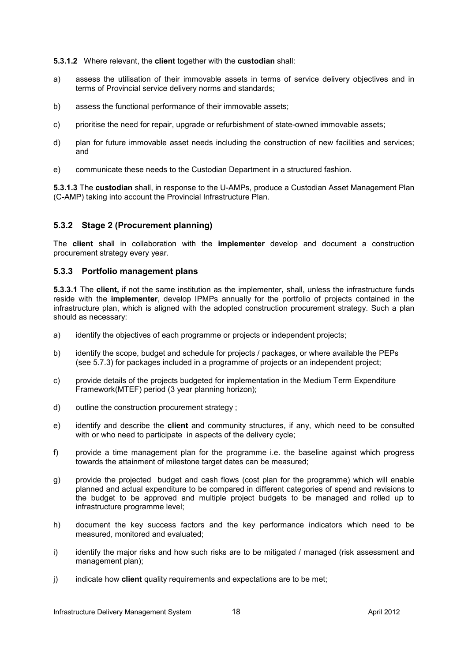**5.3.1.2** Where relevant, the **client** together with the **custodian** shall:

- a) assess the utilisation of their immovable assets in terms of service delivery objectives and in terms of Provincial service delivery norms and standards;
- b) assess the functional performance of their immovable assets;
- c) prioritise the need for repair, upgrade or refurbishment of state-owned immovable assets;
- d) plan for future immovable asset needs including the construction of new facilities and services; and
- e) communicate these needs to the Custodian Department in a structured fashion.

**5.3.1.3** The **custodian** shall, in response to the U-AMPs, produce a Custodian Asset Management Plan (C-AMP) taking into account the Provincial Infrastructure Plan.

#### **5.3.2 Stage 2 (Procurement planning)**

The **client** shall in collaboration with the **implementer** develop and document a construction procurement strategy every year.

#### **5.3.3 Portfolio management plans**

**5.3.3.1** The **client,** if not the same institution as the implementer**,** shall, unless the infrastructure funds reside with the **implementer**, develop IPMPs annually for the portfolio of projects contained in the infrastructure plan, which is aligned with the adopted construction procurement strategy. Such a plan should as necessary:

- a) identify the objectives of each programme or projects or independent projects;
- b) identify the scope, budget and schedule for projects / packages, or where available the PEPs (see 5.7.3) for packages included in a programme of projects or an independent project;
- c) provide details of the projects budgeted for implementation in the Medium Term Expenditure Framework(MTEF) period (3 year planning horizon);
- d) outline the construction procurement strategy ;
- e) identify and describe the **client** and community structures, if any, which need to be consulted with or who need to participate in aspects of the delivery cycle;
- f) provide a time management plan for the programme i.e. the baseline against which progress towards the attainment of milestone target dates can be measured;
- g) provide the projected budget and cash flows (cost plan for the programme) which will enable planned and actual expenditure to be compared in different categories of spend and revisions to the budget to be approved and multiple project budgets to be managed and rolled up to infrastructure programme level;
- h) document the key success factors and the key performance indicators which need to be measured, monitored and evaluated;
- i) identify the major risks and how such risks are to be mitigated / managed (risk assessment and management plan);
- j) indicate how **client** quality requirements and expectations are to be met;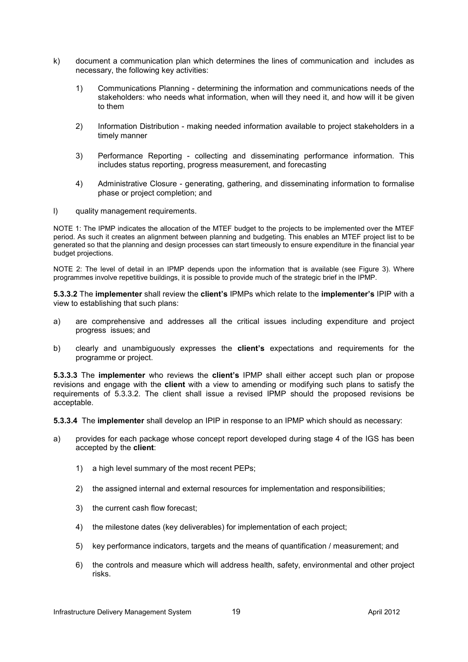- k) document a communication plan which determines the lines of communication and includes as necessary, the following key activities:
	- 1) Communications Planning determining the information and communications needs of the stakeholders: who needs what information, when will they need it, and how will it be given to them
	- 2) Information Distribution making needed information available to project stakeholders in a timely manner
	- 3) Performance Reporting collecting and disseminating performance information. This includes status reporting, progress measurement, and forecasting
	- 4) Administrative Closure generating, gathering, and disseminating information to formalise phase or project completion; and
- l) quality management requirements.

NOTE 1: The IPMP indicates the allocation of the MTEF budget to the projects to be implemented over the MTEF period. As such it creates an alignment between planning and budgeting. This enables an MTEF project list to be generated so that the planning and design processes can start timeously to ensure expenditure in the financial year budget projections.

NOTE 2: The level of detail in an IPMP depends upon the information that is available (see Figure 3). Where programmes involve repetitive buildings, it is possible to provide much of the strategic brief in the IPMP.

**5.3.3.2** The **implementer** shall review the **client's** IPMPs which relate to the **implementer's** IPIP with a view to establishing that such plans:

- a) are comprehensive and addresses all the critical issues including expenditure and project progress issues; and
- b) clearly and unambiguously expresses the **client's** expectations and requirements for the programme or project.

**5.3.3.3** The **implementer** who reviews the **client's** IPMP shall either accept such plan or propose revisions and engage with the **client** with a view to amending or modifying such plans to satisfy the requirements of 5.3.3.2. The client shall issue a revised IPMP should the proposed revisions be acceptable.

**5.3.3.4** The **implementer** shall develop an IPIP in response to an IPMP which should as necessary:

- a) provides for each package whose concept report developed during stage 4 of the IGS has been accepted by the **client**:
	- 1) a high level summary of the most recent PEPs;
	- 2) the assigned internal and external resources for implementation and responsibilities;
	- 3) the current cash flow forecast;
	- 4) the milestone dates (key deliverables) for implementation of each project;
	- 5) key performance indicators, targets and the means of quantification / measurement; and
	- 6) the controls and measure which will address health, safety, environmental and other project risks.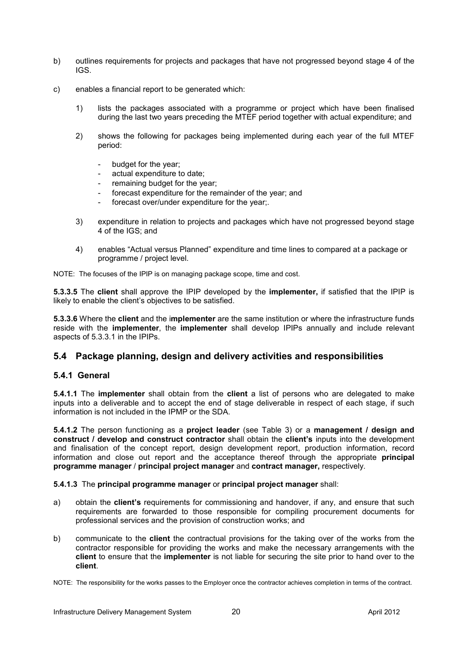- b) outlines requirements for projects and packages that have not progressed beyond stage 4 of the IGS.
- c) enables a financial report to be generated which:
	- 1) lists the packages associated with a programme or project which have been finalised during the last two years preceding the MTEF period together with actual expenditure; and
	- 2) shows the following for packages being implemented during each year of the full MTEF period:
		- budget for the year;
		- actual expenditure to date;
		- remaining budget for the year;
		- forecast expenditure for the remainder of the year; and
		- forecast over/under expenditure for the year;.
	- 3) expenditure in relation to projects and packages which have not progressed beyond stage 4 of the IGS; and
	- 4) enables "Actual versus Planned" expenditure and time lines to compared at a package or programme / project level.

NOTE: The focuses of the IPIP is on managing package scope, time and cost.

**5.3.3.5** The **client** shall approve the IPIP developed by the **implementer,** if satisfied that the IPIP is likely to enable the client's objectives to be satisfied.

**5.3.3.6** Where the **client** and the i**mplementer** are the same institution or where the infrastructure funds reside with the **implementer**, the **implementer** shall develop IPIPs annually and include relevant aspects of 5.3.3.1 in the IPIPs.

# **5.4 Package planning, design and delivery activities and responsibilities**

#### **5.4.1 General**

**5.4.1.1** The **implementer** shall obtain from the **client** a list of persons who are delegated to make inputs into a deliverable and to accept the end of stage deliverable in respect of each stage, if such information is not included in the IPMP or the SDA.

**5.4.1.2** The person functioning as a **project leader** (see Table 3) or a **management / design and construct / develop and construct contractor** shall obtain the **client's** inputs into the development and finalisation of the concept report, design development report, production information, record information and close out report and the acceptance thereof through the appropriate **principal programme manager** / **principal project manager** and **contract manager,** respectively.

#### **5.4.1.3** The **principal programme manager** or **principal project manager** shall:

- a) obtain the **client's** requirements for commissioning and handover, if any, and ensure that such requirements are forwarded to those responsible for compiling procurement documents for professional services and the provision of construction works; and
- b) communicate to the **client** the contractual provisions for the taking over of the works from the contractor responsible for providing the works and make the necessary arrangements with the **client** to ensure that the **implementer** is not liable for securing the site prior to hand over to the **client**.

NOTE: The responsibility for the works passes to the Employer once the contractor achieves completion in terms of the contract.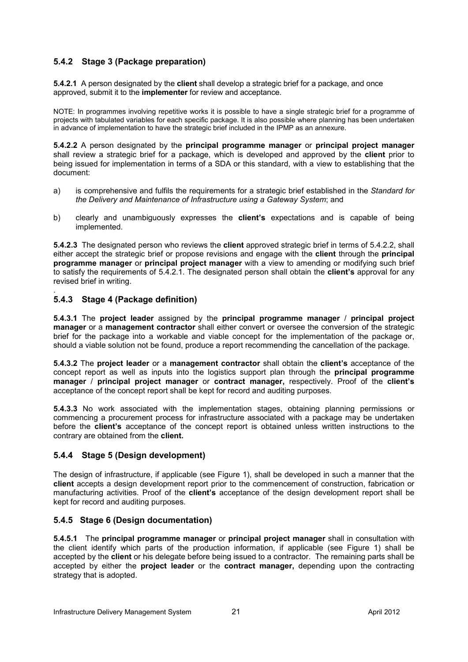# **5.4.2 Stage 3 (Package preparation)**

**5.4.2.1** A person designated by the **client** shall develop a strategic brief for a package, and once approved, submit it to the **implementer** for review and acceptance.

NOTE: In programmes involving repetitive works it is possible to have a single strategic brief for a programme of projects with tabulated variables for each specific package. It is also possible where planning has been undertaken in advance of implementation to have the strategic brief included in the IPMP as an annexure.

**5.4.2.2** A person designated by the **principal programme manager** or **principal project manager**  shall review a strategic brief for a package, which is developed and approved by the **client** prior to being issued for implementation in terms of a SDA or this standard, with a view to establishing that the document:

- a) is comprehensive and fulfils the requirements for a strategic brief established in the *Standard for the Delivery and Maintenance of Infrastructure using a Gateway System*; and
- b) clearly and unambiguously expresses the **client's** expectations and is capable of being implemented.

**5.4.2.3** The designated person who reviews the **client** approved strategic brief in terms of 5.4.2.2, shall either accept the strategic brief or propose revisions and engage with the **client** through the **principal programme manager** or **principal project manager** with a view to amending or modifying such brief to satisfy the requirements of 5.4.2.1. The designated person shall obtain the **client's** approval for any revised brief in writing.

#### . **5.4.3 Stage 4 (Package definition)**

**5.4.3.1** The **project leader** assigned by the **principal programme manager** / **principal project manager** or a **management contractor** shall either convert or oversee the conversion of the strategic brief for the package into a workable and viable concept for the implementation of the package or, should a viable solution not be found, produce a report recommending the cancellation of the package.

**5.4.3.2** The **project leader** or a **management contractor** shall obtain the **client's** acceptance of the concept report as well as inputs into the logistics support plan through the **principal programme manager** / **principal project manager** or **contract manager,** respectively. Proof of the **client's**  acceptance of the concept report shall be kept for record and auditing purposes.

**5.4.3.3** No work associated with the implementation stages, obtaining planning permissions or commencing a procurement process for infrastructure associated with a package may be undertaken before the **client's** acceptance of the concept report is obtained unless written instructions to the contrary are obtained from the **client.** 

# **5.4.4 Stage 5 (Design development)**

The design of infrastructure, if applicable (see Figure 1), shall be developed in such a manner that the **client** accepts a design development report prior to the commencement of construction, fabrication or manufacturing activities. Proof of the **client's** acceptance of the design development report shall be kept for record and auditing purposes.

#### **5.4.5 Stage 6 (Design documentation)**

**5.4.5.1** The **principal programme manager** or **principal project manager** shall in consultation with the client identify which parts of the production information, if applicable (see Figure 1) shall be accepted by the **client** or his delegate before being issued to a contractor. The remaining parts shall be accepted by either the **project leader** or the **contract manager,** depending upon the contracting strategy that is adopted.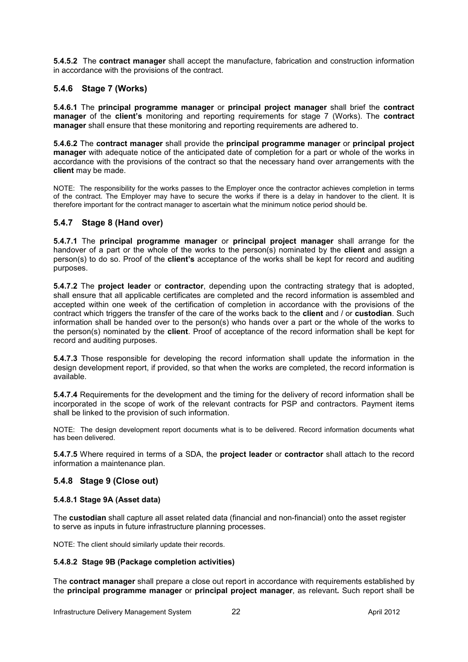**5.4.5.2** The **contract manager** shall accept the manufacture, fabrication and construction information in accordance with the provisions of the contract.

# **5.4.6 Stage 7 (Works)**

**5.4.6.1** The **principal programme manager** or **principal project manager** shall brief the **contract manager** of the **client's** monitoring and reporting requirements for stage 7 (Works). The **contract manager** shall ensure that these monitoring and reporting requirements are adhered to.

**5.4.6.2** The **contract manager** shall provide the **principal programme manager** or **principal project manager** with adequate notice of the anticipated date of completion for a part or whole of the works in accordance with the provisions of the contract so that the necessary hand over arrangements with the **client** may be made.

NOTE: The responsibility for the works passes to the Employer once the contractor achieves completion in terms of the contract. The Employer may have to secure the works if there is a delay in handover to the client. It is therefore important for the contract manager to ascertain what the minimum notice period should be.

# **5.4.7 Stage 8 (Hand over)**

**5.4.7.1** The **principal programme manager** or **principal project manager** shall arrange for the handover of a part or the whole of the works to the person(s) nominated by the **client** and assign a person(s) to do so. Proof of the **client's** acceptance of the works shall be kept for record and auditing purposes.

**5.4.7.2** The **project leader** or **contractor**, depending upon the contracting strategy that is adopted, shall ensure that all applicable certificates are completed and the record information is assembled and accepted within one week of the certification of completion in accordance with the provisions of the contract which triggers the transfer of the care of the works back to the **client** and / or **custodian**. Such information shall be handed over to the person(s) who hands over a part or the whole of the works to the person(s) nominated by the **client**. Proof of acceptance of the record information shall be kept for record and auditing purposes.

**5.4.7.3** Those responsible for developing the record information shall update the information in the design development report, if provided, so that when the works are completed, the record information is available.

**5.4.7.4** Requirements for the development and the timing for the delivery of record information shall be incorporated in the scope of work of the relevant contracts for PSP and contractors. Payment items shall be linked to the provision of such information.

NOTE: The design development report documents what is to be delivered. Record information documents what has been delivered.

**5.4.7.5** Where required in terms of a SDA, the **project leader** or **contractor** shall attach to the record information a maintenance plan.

#### **5.4.8 Stage 9 (Close out)**

#### **5.4.8.1 Stage 9A (Asset data)**

The **custodian** shall capture all asset related data (financial and non-financial) onto the asset register to serve as inputs in future infrastructure planning processes.

NOTE: The client should similarly update their records.

#### **5.4.8.2 Stage 9B (Package completion activities)**

The **contract manager** shall prepare a close out report in accordance with requirements established by the **principal programme manager** or **principal project manager**, as relevant**.** Such report shall be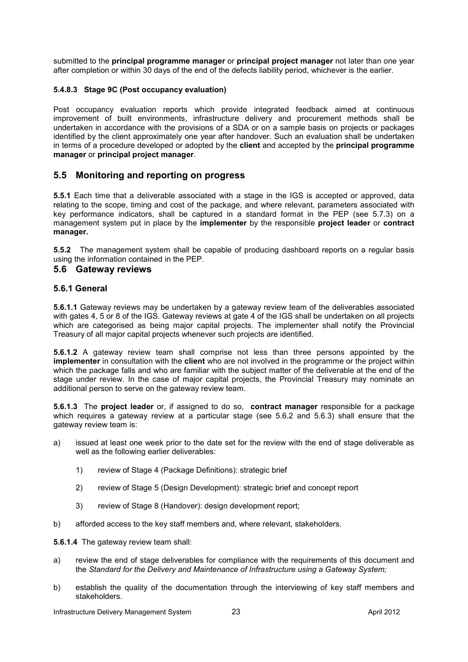submitted to the **principal programme manager** or **principal project manager** not later than one year after completion or within 30 days of the end of the defects liability period, whichever is the earlier.

#### **5.4.8.3 Stage 9C (Post occupancy evaluation)**

Post occupancy evaluation reports which provide integrated feedback aimed at continuous improvement of built environments, infrastructure delivery and procurement methods shall be undertaken in accordance with the provisions of a SDA or on a sample basis on projects or packages identified by the client approximately one year after handover. Such an evaluation shall be undertaken in terms of a procedure developed or adopted by the **client** and accepted by the **principal programme manager** or **principal project manager**.

# **5.5 Monitoring and reporting on progress**

**5.5.1** Each time that a deliverable associated with a stage in the IGS is accepted or approved, data relating to the scope, timing and cost of the package, and where relevant, parameters associated with key performance indicators, shall be captured in a standard format in the PEP (see 5.7.3) on a management system put in place by the **implementer** by the responsible **project leader** or **contract manager.**

**5.5.2** The management system shall be capable of producing dashboard reports on a regular basis using the information contained in the PEP.

#### **5.6 Gateway reviews**

#### **5.6.1 General**

**5.6.1.1** Gateway reviews may be undertaken by a gateway review team of the deliverables associated with gates 4, 5 or 8 of the IGS. Gateway reviews at gate 4 of the IGS shall be undertaken on all projects which are categorised as being major capital projects. The implementer shall notify the Provincial Treasury of all major capital projects whenever such projects are identified.

**5.6.1.2** A gateway review team shall comprise not less than three persons appointed by the **implementer** in consultation with the **client** who are not involved in the programme or the project within which the package falls and who are familiar with the subject matter of the deliverable at the end of the stage under review. In the case of major capital projects, the Provincial Treasury may nominate an additional person to serve on the gateway review team.

**5.6.1.3** The **project leader** or, if assigned to do so, **contract manager** responsible for a package which requires a gateway review at a particular stage (see 5.6.2 and 5.6.3) shall ensure that the gateway review team is:

- a) issued at least one week prior to the date set for the review with the end of stage deliverable as well as the following earlier deliverables:
	- 1) review of Stage 4 (Package Definitions): strategic brief
	- 2) review of Stage 5 (Design Development): strategic brief and concept report
	- 3) review of Stage 8 (Handover): design development report;
- b) afforded access to the key staff members and, where relevant, stakeholders.

**5.6.1.4** The gateway review team shall:

- a) review the end of stage deliverables for compliance with the requirements of this document and the *Standard for the Delivery and Maintenance of Infrastructure using a Gateway System;*
- b) establish the quality of the documentation through the interviewing of key staff members and stakeholders.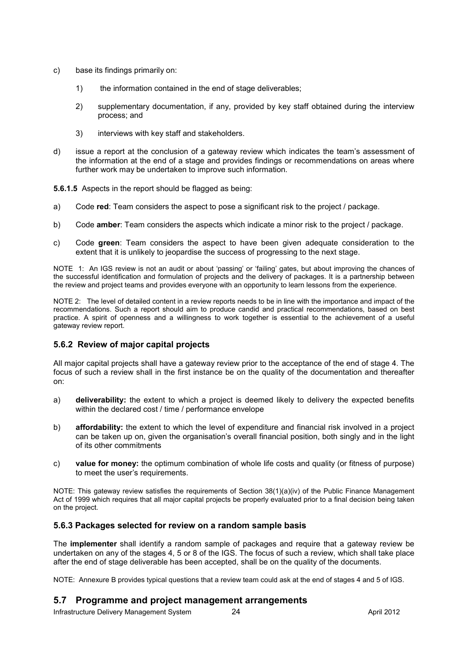- c) base its findings primarily on:
	- 1) the information contained in the end of stage deliverables;
	- 2) supplementary documentation, if any, provided by key staff obtained during the interview process; and
	- 3) interviews with key staff and stakeholders.
- d) issue a report at the conclusion of a gateway review which indicates the team's assessment of the information at the end of a stage and provides findings or recommendations on areas where further work may be undertaken to improve such information.

**5.6.1.5** Aspects in the report should be flagged as being:

- a) Code **red**: Team considers the aspect to pose a significant risk to the project / package.
- b) Code **amber**: Team considers the aspects which indicate a minor risk to the project / package.
- c) Code **green**: Team considers the aspect to have been given adequate consideration to the extent that it is unlikely to jeopardise the success of progressing to the next stage.

NOTE 1: An IGS review is not an audit or about 'passing' or 'failing' gates, but about improving the chances of the successful identification and formulation of projects and the delivery of packages. It is a partnership between the review and project teams and provides everyone with an opportunity to learn lessons from the experience.

NOTE 2: The level of detailed content in a review reports needs to be in line with the importance and impact of the recommendations. Such a report should aim to produce candid and practical recommendations, based on best practice. A spirit of openness and a willingness to work together is essential to the achievement of a useful gateway review report.

#### **5.6.2 Review of major capital projects**

All major capital projects shall have a gateway review prior to the acceptance of the end of stage 4. The focus of such a review shall in the first instance be on the quality of the documentation and thereafter on:

- a) **deliverability:** the extent to which a project is deemed likely to delivery the expected benefits within the declared cost / time / performance envelope
- b) **affordability:** the extent to which the level of expenditure and financial risk involved in a project can be taken up on, given the organisation's overall financial position, both singly and in the light of its other commitments
- c) **value for money:** the optimum combination of whole life costs and quality (or fitness of purpose) to meet the user's requirements.

NOTE: This gateway review satisfies the requirements of Section 38(1)(a)(iv) of the Public Finance Management Act of 1999 which requires that all major capital projects be properly evaluated prior to a final decision being taken on the project.

#### **5.6.3 Packages selected for review on a random sample basis**

The **implementer** shall identify a random sample of packages and require that a gateway review be undertaken on any of the stages 4, 5 or 8 of the IGS. The focus of such a review, which shall take place after the end of stage deliverable has been accepted, shall be on the quality of the documents.

NOTE: Annexure B provides typical questions that a review team could ask at the end of stages 4 and 5 of IGS.

# **5.7 Programme and project management arrangements**

Infrastructure Delivery Management System  $24$  24 April 2012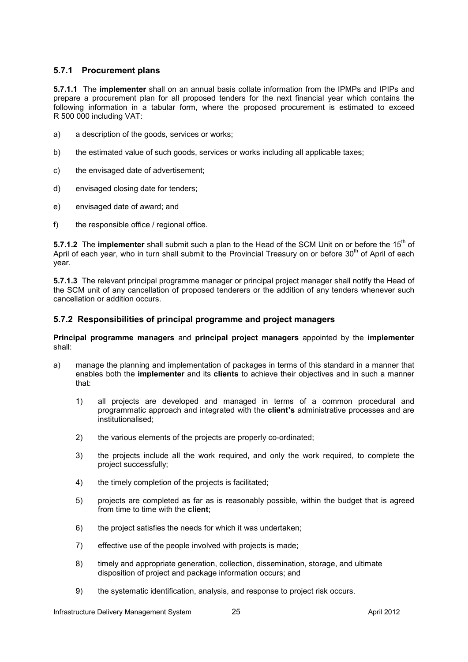### **5.7.1 Procurement plans**

**5.7.1.1** The **implementer** shall on an annual basis collate information from the IPMPs and IPIPs and prepare a procurement plan for all proposed tenders for the next financial year which contains the following information in a tabular form, where the proposed procurement is estimated to exceed R 500 000 including VAT:

- a) a description of the goods, services or works;
- b) the estimated value of such goods, services or works including all applicable taxes;
- c) the envisaged date of advertisement;
- d) envisaged closing date for tenders;
- e) envisaged date of award; and
- f) the responsible office / regional office.

**5.7.1.2** The **implementer** shall submit such a plan to the Head of the SCM Unit on or before the 15<sup>th</sup> of April of each year, who in turn shall submit to the Provincial Treasury on or before 30<sup>th</sup> of April of each year.

**5.7.1.3** The relevant principal programme manager or principal project manager shall notify the Head of the SCM unit of any cancellation of proposed tenderers or the addition of any tenders whenever such cancellation or addition occurs.

#### **5.7.2 Responsibilities of principal programme and project managers**

**Principal programme managers** and **principal project managers** appointed by the **implementer**  shall:

- a) manage the planning and implementation of packages in terms of this standard in a manner that enables both the **implementer** and its **clients** to achieve their objectives and in such a manner that:
	- 1) all projects are developed and managed in terms of a common procedural and programmatic approach and integrated with the **client's** administrative processes and are institutionalised;
	- 2) the various elements of the projects are properly co-ordinated;
	- 3) the projects include all the work required, and only the work required, to complete the project successfully;
	- 4) the timely completion of the projects is facilitated;
	- 5) projects are completed as far as is reasonably possible, within the budget that is agreed from time to time with the **client**;
	- 6) the project satisfies the needs for which it was undertaken;
	- 7) effective use of the people involved with projects is made;
	- 8) timely and appropriate generation, collection, dissemination, storage, and ultimate disposition of project and package information occurs; and
	- 9) the systematic identification, analysis, and response to project risk occurs.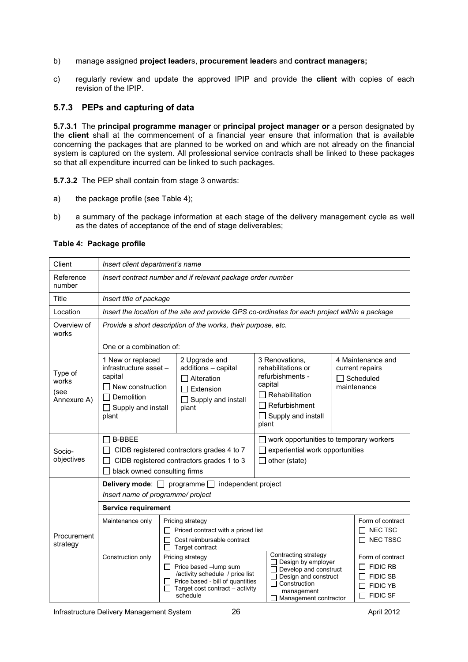- b) manage assigned **project leader**s, **procurement leader**s and **contract managers;**
- c) regularly review and update the approved IPIP and provide the **client** with copies of each revision of the IPIP.

### **5.7.3 PEPs and capturing of data**

**5.7.3.1** The **principal programme manager** or **principal project manager or** a person designated by the **client** shall at the commencement of a financial year ensure that information that is available concerning the packages that are planned to be worked on and which are not already on the financial system is captured on the system. All professional service contracts shall be linked to these packages so that all expenditure incurred can be linked to such packages.

**5.7.3.2** The PEP shall contain from stage 3 onwards:

- a) the package profile (see Table 4);
- b) a summary of the package information at each stage of the delivery management cycle as well as the dates of acceptance of the end of stage deliverables;

#### Client *Insert client department's name*  Reference *Insert contract number and if relevant package order number*  number Title *Insert title of package*  Location *Insert the location of the site and provide GPS co-ordinates for each project within a package*  Overview of *Provide a short description of the works, their purpose, etc.*  works One or a combination of: 1 New or replaced 2 Upgrade and 3 Renovations, 4 Maintenance and infrastructure asset – additions – capital rehabilitations or current repairs Type of refurbishments capital □ Alteration □ Scheduled works capital  $\Box$  New construction maintenance  $\Box$  Extension (see  $\Box$  Rehabilitation  $\Box$  Demolition Annexure A)  $\Box$  Supply and install  $\Box$  Refurbishment  $\Box$  Supply and install plant plant  $\Box$  Supply and install plant  $\Box$  B-BBEE  $\Box$  work opportunities to temporary workers  $\Box$  CIDB registered contractors grades 4 to 7  $\Box$  experiential work opportunities Socioobjectives  $\Box$  CIDB registered contractors grades 1 to 3  $\Box$  other (state)  $\Box$  black owned consulting firms **Delivery mode:**  $\Box$  programme  $\Box$  independent project *Insert name of programme/ project* **Service requirement**  Maintenance only | Pricing strategy Form of contract  $\Box$  Priced contract with a priced list  $\Box$  NEC TSC Procurement  $\Box$  NEC TSSC □ Cost reimbursable contract strategy Target contract Contracting strategy Construction only Pricing strategy Form of contract  $\Box$  Design by employer  $\Box$  Price based –lump sum  $\Box$  FIDIC RB Develop and construct /activity schedule / price list  $\Box$  FIDIC SB Design and construct Price based - bill of quantities П  $\Box$  Construction  $\Box$  FIDIC YB  $\Box$  Target cost contract – activity management schedule  $\Box$  FIDIC SF Management contractor

#### **Table 4: Package profile**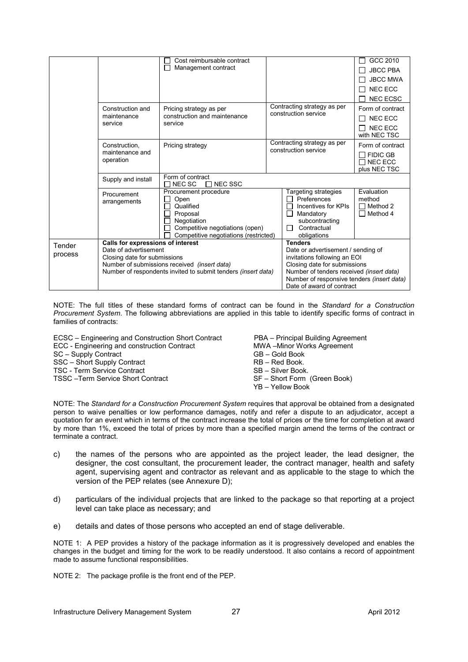|         |                                   | Cost reimbursable contract                                    |  |                                                              | GCC 2010            |  |
|---------|-----------------------------------|---------------------------------------------------------------|--|--------------------------------------------------------------|---------------------|--|
| П       |                                   | Management contract                                           |  |                                                              | <b>JBCC PBA</b>     |  |
|         |                                   |                                                               |  |                                                              | <b>JBCC MWA</b>     |  |
|         |                                   |                                                               |  |                                                              | <b>NEC ECC</b>      |  |
|         |                                   |                                                               |  |                                                              | <b>NEC ECSC</b>     |  |
|         | Construction and                  | Pricing strategy as per                                       |  | Contracting strategy as per                                  | Form of contract    |  |
|         | maintenance                       | construction and maintenance                                  |  | construction service                                         | <b>NEC ECC</b><br>П |  |
|         | service                           | service                                                       |  |                                                              | NEC ECC             |  |
|         |                                   |                                                               |  |                                                              | with NEC TSC        |  |
|         | Construction,                     | Pricing strategy                                              |  | Contracting strategy as per                                  | Form of contract    |  |
|         | maintenance and                   |                                                               |  | construction service                                         | $\Box$ FIDIC GB     |  |
|         | operation                         |                                                               |  |                                                              | $\Box$ NEC ECC      |  |
|         |                                   |                                                               |  |                                                              | plus NEC TSC        |  |
|         | Supply and install                | Form of contract<br>$\Box$ NEC SSC                            |  |                                                              |                     |  |
|         |                                   | NEC SC<br>Procurement procedure                               |  | Targeting strategies                                         | Evaluation          |  |
|         | Procurement                       | Open                                                          |  | Preferences                                                  | method              |  |
|         | arrangements                      | Qualified                                                     |  | Incentives for KPIs                                          | $\Box$ Method 2     |  |
|         |                                   | Proposal                                                      |  | Mandatory                                                    | $\Box$ Method 4     |  |
|         |                                   | Negotiation                                                   |  | subcontracting                                               |                     |  |
|         |                                   | Competitive negotiations (open)                               |  | Contractual<br>П                                             |                     |  |
|         |                                   | Competitive negotiations (restricted)                         |  | obligations                                                  |                     |  |
| Tender  | Calls for expressions of interest |                                                               |  | <b>Tenders</b>                                               |                     |  |
| process | Date of advertisement             |                                                               |  | Date or advertisement / sending of                           |                     |  |
|         | Closing date for submissions      | Number of submissions received (insert data)                  |  | invitations following an EOI<br>Closing date for submissions |                     |  |
|         |                                   | Number of respondents invited to submit tenders (insert data) |  | Number of tenders received (insert data)                     |                     |  |
|         |                                   |                                                               |  | Number of responsive tenders (insert data)                   |                     |  |
|         |                                   |                                                               |  | Date of award of contract                                    |                     |  |

NOTE: The full titles of these standard forms of contract can be found in the *Standard for a Construction Procurement System*. The following abbreviations are applied in this table to identify specific forms of contract in families of contracts:

ECSC – Engineering and Construction Short Contract PBA – Principal Building Agreement ECC - Engineering and construction Contract MWA – Minor Works Agreement<br>SC – Supply Contract GB – Gold Book SC – Supply Contract SSC – Short Supply Contract RB – Red Book. TSC - Term Service Contract **SB – Silver Book.**<br>TSSC – Term Service Short Contract SB – SB – Short Form (Green Book) TSSC – Term Service Short Contract

YB – Yellow Book

NOTE: The *Standard for a Construction Procurement System* requires that approval be obtained from a designated person to waive penalties or low performance damages, notify and refer a dispute to an adjudicator, accept a quotation for an event which in terms of the contract increase the total of prices or the time for completion at award by more than 1%, exceed the total of prices by more than a specified margin amend the terms of the contract or terminate a contract.

- c) the names of the persons who are appointed as the project leader, the lead designer, the designer, the cost consultant, the procurement leader, the contract manager, health and safety agent, supervising agent and contractor as relevant and as applicable to the stage to which the version of the PEP relates (see Annexure D);
- d) particulars of the individual projects that are linked to the package so that reporting at a project level can take place as necessary; and
- e) details and dates of those persons who accepted an end of stage deliverable.

NOTE 1: A PEP provides a history of the package information as it is progressively developed and enables the changes in the budget and timing for the work to be readily understood. It also contains a record of appointment made to assume functional responsibilities.

NOTE 2: The package profile is the front end of the PEP.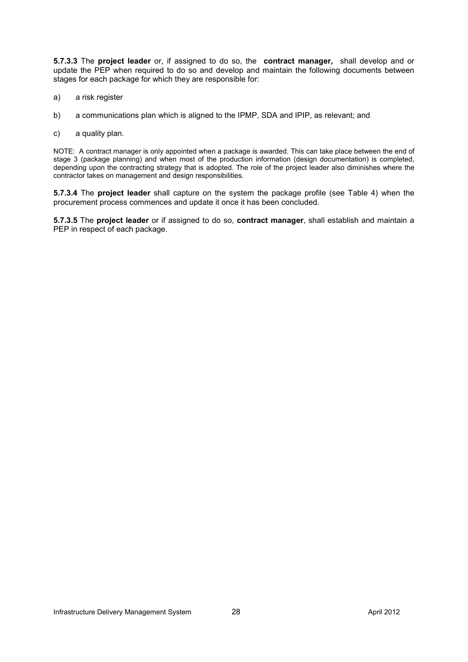**5.7.3.3** The **project leader** or, if assigned to do so, the **contract manager,** shall develop and or update the PEP when required to do so and develop and maintain the following documents between stages for each package for which they are responsible for:

- a) a risk register
- b) a communications plan which is aligned to the IPMP, SDA and IPIP, as relevant; and
- c) a quality plan.

NOTE: A contract manager is only appointed when a package is awarded. This can take place between the end of stage 3 (package planning) and when most of the production information (design documentation) is completed, depending upon the contracting strategy that is adopted. The role of the project leader also diminishes where the contractor takes on management and design responsibilities.

**5.7.3.4** The **project leader** shall capture on the system the package profile (see Table 4) when the procurement process commences and update it once it has been concluded.

**5.7.3.5** The **project leader** or if assigned to do so, **contract manager**, shall establish and maintain a PEP in respect of each package.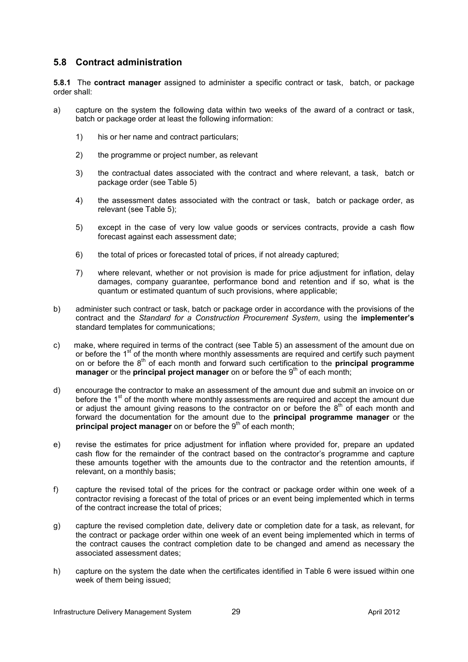# **5.8 Contract administration**

**5.8.1** The **contract manager** assigned to administer a specific contract or task, batch, or package order shall:

- a) capture on the system the following data within two weeks of the award of a contract or task, batch or package order at least the following information:
	- 1) his or her name and contract particulars;
	- 2) the programme or project number, as relevant
	- 3) the contractual dates associated with the contract and where relevant, a task, batch or package order (see Table 5)
	- 4) the assessment dates associated with the contract or task, batch or package order, as relevant (see Table 5);
	- 5) except in the case of very low value goods or services contracts, provide a cash flow forecast against each assessment date;
	- 6) the total of prices or forecasted total of prices, if not already captured;
	- 7) where relevant, whether or not provision is made for price adjustment for inflation, delay damages, company guarantee, performance bond and retention and if so, what is the quantum or estimated quantum of such provisions, where applicable;
- b) administer such contract or task, batch or package order in accordance with the provisions of the contract and the *Standard for a Construction Procurement System*, using the **implementer's** standard templates for communications;
- c) make, where required in terms of the contract (see Table 5) an assessment of the amount due on or before the 1<sup>st</sup> of the month where monthly assessments are required and certify such payment on or before the 8<sup>th</sup> of each month and forward such certification to the **principal programme manager** or the **principal project manager** on or before the 9<sup>th</sup> of each month;
- d) encourage the contractor to make an assessment of the amount due and submit an invoice on or before the 1<sup>st</sup> of the month where monthly assessments are required and accept the amount due or adjust the amount giving reasons to the contractor on or before the  $8<sup>th</sup>$  of each month and forward the documentation for the amount due to the **principal programme manager** or the **principal project manager** on or before the 9<sup>th</sup> of each month;
- e) revise the estimates for price adjustment for inflation where provided for, prepare an updated cash flow for the remainder of the contract based on the contractor's programme and capture these amounts together with the amounts due to the contractor and the retention amounts, if relevant, on a monthly basis;
- f) capture the revised total of the prices for the contract or package order within one week of a contractor revising a forecast of the total of prices or an event being implemented which in terms of the contract increase the total of prices;
- g) capture the revised completion date, delivery date or completion date for a task, as relevant, for the contract or package order within one week of an event being implemented which in terms of the contract causes the contract completion date to be changed and amend as necessary the associated assessment dates;
- h) capture on the system the date when the certificates identified in Table 6 were issued within one week of them being issued;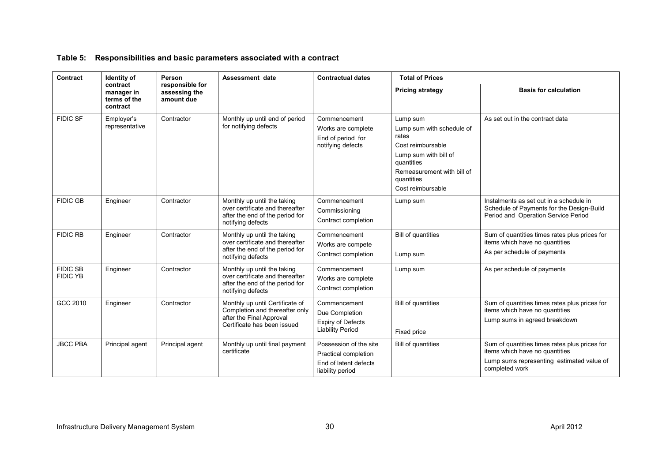# **Table 5: Responsibilities and basic parameters associated with a contract**

| Contract                           | Identity of                                        | Person                                         | Assessment date                                                                                                              | <b>Contractual dates</b>                                                                    | <b>Total of Prices</b>                                                                                                                                                      |                                                                                                                                                |  |
|------------------------------------|----------------------------------------------------|------------------------------------------------|------------------------------------------------------------------------------------------------------------------------------|---------------------------------------------------------------------------------------------|-----------------------------------------------------------------------------------------------------------------------------------------------------------------------------|------------------------------------------------------------------------------------------------------------------------------------------------|--|
|                                    | contract<br>manager in<br>terms of the<br>contract | responsible for<br>assessing the<br>amount due |                                                                                                                              |                                                                                             | <b>Pricing strategy</b>                                                                                                                                                     | <b>Basis for calculation</b>                                                                                                                   |  |
| <b>FIDIC SF</b>                    | Employer's<br>representative                       | Contractor                                     | Monthly up until end of period<br>for notifying defects                                                                      | Commencement<br>Works are complete<br>End of period for<br>notifying defects                | Lump sum<br>Lump sum with schedule of<br>rates<br>Cost reimbursable<br>Lump sum with bill of<br>quantities<br>Remeasurement with bill of<br>quantities<br>Cost reimbursable | As set out in the contract data                                                                                                                |  |
| <b>FIDIC GB</b>                    | Engineer                                           | Contractor                                     | Monthly up until the taking<br>over certificate and thereafter<br>after the end of the period for<br>notifying defects       | Commencement<br>Commissioning<br>Contract completion                                        | Lump sum                                                                                                                                                                    | Instalments as set out in a schedule in<br>Schedule of Payments for the Design-Build<br>Period and Operation Service Period                    |  |
| <b>FIDIC RB</b>                    | Engineer                                           | Contractor                                     | Monthly up until the taking<br>over certificate and thereafter<br>after the end of the period for<br>notifying defects       | Commencement<br>Works are compete<br>Contract completion                                    | <b>Bill of quantities</b><br>Lump sum                                                                                                                                       | Sum of quantities times rates plus prices for<br>items which have no quantities<br>As per schedule of payments                                 |  |
| <b>FIDIC SB</b><br><b>FIDIC YB</b> | Engineer                                           | Contractor                                     | Monthly up until the taking<br>over certificate and thereafter<br>after the end of the period for<br>notifying defects       | Commencement<br>Works are complete<br>Contract completion                                   | Lump sum                                                                                                                                                                    | As per schedule of payments                                                                                                                    |  |
| GCC 2010                           | Engineer                                           | Contractor                                     | Monthly up until Certificate of<br>Completion and thereafter only<br>after the Final Approval<br>Certificate has been issued | Commencement<br>Due Completion<br><b>Expiry of Defects</b><br><b>Liability Period</b>       | <b>Bill of quantities</b><br>Fixed price                                                                                                                                    | Sum of quantities times rates plus prices for<br>items which have no quantities<br>Lump sums in agreed breakdown                               |  |
| <b>JBCC PBA</b>                    | Principal agent                                    | Principal agent                                | Monthly up until final payment<br>certificate                                                                                | Possession of the site<br>Practical completion<br>End of latent defects<br>liability period | Bill of quantities                                                                                                                                                          | Sum of quantities times rates plus prices for<br>items which have no quantities<br>Lump sums representing estimated value of<br>completed work |  |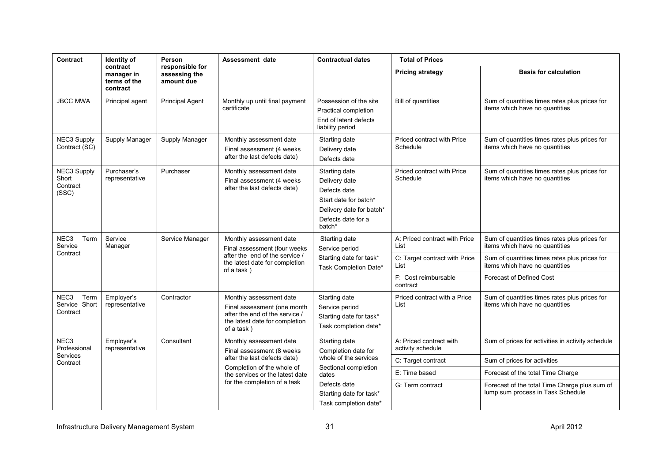| Contract                                              | Identity of                                        | Person                                                           | Assessment date                                                                                                                          | <b>Contractual dates</b>                                                                                                            | <b>Total of Prices</b>                       |                                                                                 |  |
|-------------------------------------------------------|----------------------------------------------------|------------------------------------------------------------------|------------------------------------------------------------------------------------------------------------------------------------------|-------------------------------------------------------------------------------------------------------------------------------------|----------------------------------------------|---------------------------------------------------------------------------------|--|
|                                                       | contract<br>manager in<br>terms of the<br>contract | responsible for<br>assessing the<br>amount due                   |                                                                                                                                          |                                                                                                                                     | <b>Pricing strategy</b>                      | <b>Basis for calculation</b>                                                    |  |
| <b>JBCC MWA</b>                                       | Principal agent                                    | <b>Principal Agent</b>                                           | Monthly up until final payment<br>certificate                                                                                            | Possession of the site<br>Practical completion<br>End of latent defects<br>liability period                                         | <b>Bill of quantities</b>                    | Sum of quantities times rates plus prices for<br>items which have no quantities |  |
| NEC3 Supply<br>Contract (SC)                          | Supply Manager                                     | Supply Manager                                                   | Monthly assessment date<br>Final assessment (4 weeks<br>after the last defects date)                                                     | Starting date<br>Delivery date<br>Defects date                                                                                      | Priced contract with Price<br>Schedule       | Sum of quantities times rates plus prices for<br>items which have no quantities |  |
| <b>NEC3 Supply</b><br>Short<br>Contract<br>(SSC)      | Purchaser's<br>representative                      | Purchaser                                                        | Monthly assessment date<br>Final assessment (4 weeks<br>after the last defects date)                                                     | Starting date<br>Delivery date<br>Defects date<br>Start date for batch*<br>Delivery date for batch*<br>Defects date for a<br>batch* | Priced contract with Price<br>Schedule       | Sum of quantities times rates plus prices for<br>items which have no quantities |  |
| NEC3<br>Term<br>Service                               | Service<br>Manager                                 | Service Manager                                                  | Monthly assessment date<br>Final assessment (four weeks                                                                                  | Starting date<br>Service period<br>after the end of the service /<br>Starting date for task*<br>Task Completion Date*               | A: Priced contract with Price<br>List        | Sum of quantities times rates plus prices for<br>items which have no quantities |  |
| Contract                                              | of a task)                                         |                                                                  | the latest date for completion                                                                                                           |                                                                                                                                     | C: Target contract with Price<br>List        | Sum of quantities times rates plus prices for<br>items which have no quantities |  |
|                                                       |                                                    |                                                                  |                                                                                                                                          | F: Cost reimbursable<br>contract                                                                                                    | <b>Forecast of Defined Cost</b>              |                                                                                 |  |
| Term<br>NEC <sub>3</sub><br>Service Short<br>Contract | Employer's<br>representative                       | Contractor                                                       | Monthly assessment date<br>Final assessment (one month<br>after the end of the service /<br>the latest date for completion<br>of a task) | Starting date<br>Service period<br>Starting date for task*<br>Task completion date*                                                 | Priced contract with a Price<br>List         | Sum of quantities times rates plus prices for<br>items which have no quantities |  |
| NEC <sub>3</sub><br>Professional                      | Employer's<br>representative                       | Consultant                                                       | Monthly assessment date<br>Final assessment (8 weeks)                                                                                    | Starting date<br>Completion date for                                                                                                | A: Priced contract with<br>activity schedule | Sum of prices for activities in activity schedule                               |  |
| <b>Services</b><br>Contract                           |                                                    |                                                                  | after the last defects date)                                                                                                             | whole of the services                                                                                                               | C: Target contract                           | Sum of prices for activities                                                    |  |
|                                                       |                                                    |                                                                  | Completion of the whole of<br>the services or the latest date                                                                            | Sectional completion<br>dates                                                                                                       | E: Time based                                | Forecast of the total Time Charge                                               |  |
|                                                       | for the completion of a task                       | Defects date<br>Starting date for task*<br>Task completion date* | G: Term contract                                                                                                                         | Forecast of the total Time Charge plus sum of<br>lump sum process in Task Schedule                                                  |                                              |                                                                                 |  |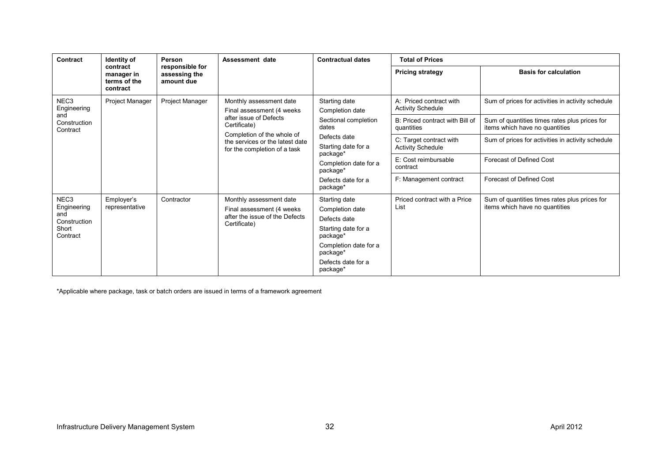| Contract                                                                    | <b>Identity of</b>                                 | <b>Person</b><br>responsible for<br>assessing the<br>amount due | Assessment date                                                                                                                                                                                  | <b>Contractual dates</b>                                                                                                                                                                    | <b>Total of Prices</b>                              |                                                                                 |  |
|-----------------------------------------------------------------------------|----------------------------------------------------|-----------------------------------------------------------------|--------------------------------------------------------------------------------------------------------------------------------------------------------------------------------------------------|---------------------------------------------------------------------------------------------------------------------------------------------------------------------------------------------|-----------------------------------------------------|---------------------------------------------------------------------------------|--|
|                                                                             | contract<br>manager in<br>terms of the<br>contract |                                                                 |                                                                                                                                                                                                  |                                                                                                                                                                                             | <b>Pricing strategy</b>                             | <b>Basis for calculation</b>                                                    |  |
| NEC <sub>3</sub><br>Engineering<br>and<br>Construction<br>Contract          | Project Manager                                    | Project Manager                                                 | Monthly assessment date<br>Final assessment (4 weeks)<br>after issue of Defects<br>Certificate)<br>Completion of the whole of<br>the services or the latest date<br>for the completion of a task | Starting date<br>Completion date<br>Sectional completion<br>dates<br>Defects date<br>Starting date for a<br>package*<br>Completion date for a<br>package*<br>Defects date for a<br>package* | A: Priced contract with<br><b>Activity Schedule</b> | Sum of prices for activities in activity schedule                               |  |
|                                                                             |                                                    |                                                                 |                                                                                                                                                                                                  |                                                                                                                                                                                             | B: Priced contract with Bill of<br>quantities       | Sum of quantities times rates plus prices for<br>items which have no quantities |  |
|                                                                             |                                                    |                                                                 |                                                                                                                                                                                                  |                                                                                                                                                                                             | C: Target contract with<br><b>Activity Schedule</b> | Sum of prices for activities in activity schedule                               |  |
|                                                                             |                                                    |                                                                 |                                                                                                                                                                                                  |                                                                                                                                                                                             | E: Cost reimbursable<br>contract                    | Forecast of Defined Cost                                                        |  |
|                                                                             |                                                    |                                                                 |                                                                                                                                                                                                  |                                                                                                                                                                                             | F: Management contract                              | Forecast of Defined Cost                                                        |  |
| NEC <sub>3</sub><br>Engineering<br>and<br>Construction<br>Short<br>Contract | Employer's<br>representative                       | Contractor                                                      | Monthly assessment date<br>Final assessment (4 weeks)<br>after the issue of the Defects<br>Certificate)                                                                                          | Starting date<br>Completion date<br>Defects date<br>Starting date for a<br>package*<br>Completion date for a<br>package*<br>Defects date for a<br>package*                                  | Priced contract with a Price<br>List                | Sum of quantities times rates plus prices for<br>items which have no quantities |  |

\*Applicable where package, task or batch orders are issued in terms of a framework agreement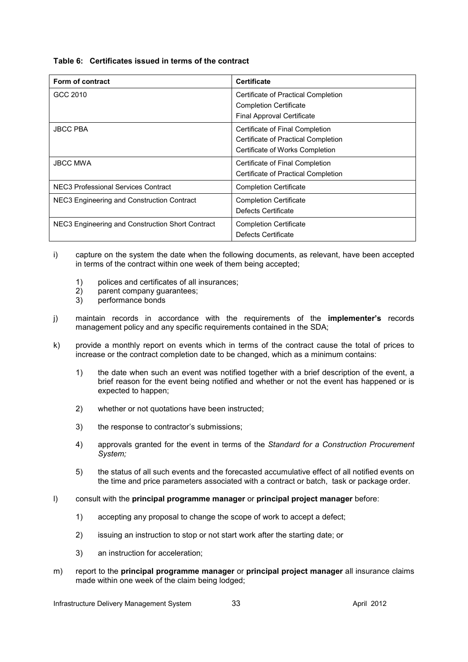#### **Table 6: Certificates issued in terms of the contract**

| Form of contract                                 | <b>Certificate</b>                  |
|--------------------------------------------------|-------------------------------------|
| GCC 2010                                         | Certificate of Practical Completion |
|                                                  | <b>Completion Certificate</b>       |
|                                                  | <b>Final Approval Certificate</b>   |
| <b>JBCC PBA</b>                                  | Certificate of Final Completion     |
|                                                  | Certificate of Practical Completion |
|                                                  | Certificate of Works Completion     |
| <b>JBCC MWA</b>                                  | Certificate of Final Completion     |
|                                                  | Certificate of Practical Completion |
| NEC3 Professional Services Contract              | <b>Completion Certificate</b>       |
| NEC3 Engineering and Construction Contract       | <b>Completion Certificate</b>       |
|                                                  | Defects Certificate                 |
| NEC3 Engineering and Construction Short Contract | <b>Completion Certificate</b>       |
|                                                  | Defects Certificate                 |

- i) capture on the system the date when the following documents, as relevant, have been accepted in terms of the contract within one week of them being accepted;
	- 1) polices and certificates of all insurances;
	- 2) parent company guarantees;
	- 3) performance bonds
- j) maintain records in accordance with the requirements of the **implementer's** records management policy and any specific requirements contained in the SDA;
- k) provide a monthly report on events which in terms of the contract cause the total of prices to increase or the contract completion date to be changed, which as a minimum contains:
	- 1) the date when such an event was notified together with a brief description of the event, a brief reason for the event being notified and whether or not the event has happened or is expected to happen;
	- 2) whether or not quotations have been instructed;
	- 3) the response to contractor's submissions;
	- 4) approvals granted for the event in terms of the *Standard for a Construction Procurement System;*
	- 5) the status of all such events and the forecasted accumulative effect of all notified events on the time and price parameters associated with a contract or batch, task or package order.
- l) consult with the **principal programme manager** or **principal project manager** before:
	- 1) accepting any proposal to change the scope of work to accept a defect;
	- 2) issuing an instruction to stop or not start work after the starting date; or
	- 3) an instruction for acceleration;
- m) report to the **principal programme manager** or **principal project manager** all insurance claims made within one week of the claim being lodged;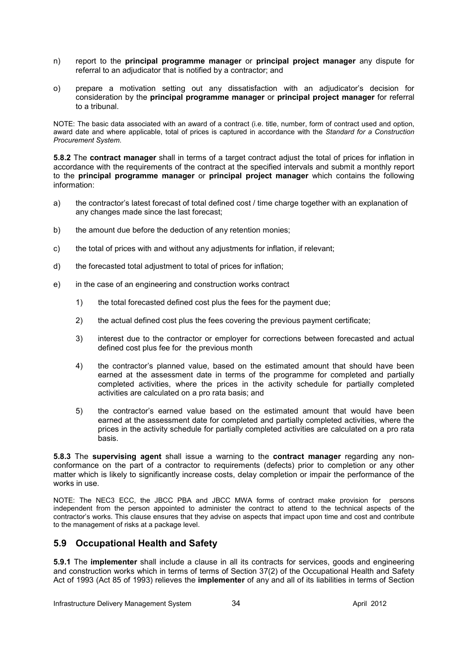- n) report to the **principal programme manager** or **principal project manager** any dispute for referral to an adjudicator that is notified by a contractor; and
- o) prepare a motivation setting out any dissatisfaction with an adjudicator's decision for consideration by the **principal programme manager** or **principal project manager** for referral to a tribunal.

NOTE: The basic data associated with an award of a contract (i.e. title, number, form of contract used and option, award date and where applicable, total of prices is captured in accordance with the *Standard for a Construction Procurement System*.

**5.8.2** The **contract manager** shall in terms of a target contract adjust the total of prices for inflation in accordance with the requirements of the contract at the specified intervals and submit a monthly report to the **principal programme manager** or **principal project manager** which contains the following information:

- a) the contractor's latest forecast of total defined cost / time charge together with an explanation of any changes made since the last forecast;
- b) the amount due before the deduction of any retention monies;
- c) the total of prices with and without any adjustments for inflation, if relevant;
- d) the forecasted total adjustment to total of prices for inflation;
- e) in the case of an engineering and construction works contract
	- 1) the total forecasted defined cost plus the fees for the payment due;
	- 2) the actual defined cost plus the fees covering the previous payment certificate;
	- 3) interest due to the contractor or employer for corrections between forecasted and actual defined cost plus fee for the previous month
	- 4) the contractor's planned value, based on the estimated amount that should have been earned at the assessment date in terms of the programme for completed and partially completed activities, where the prices in the activity schedule for partially completed activities are calculated on a pro rata basis; and
	- 5) the contractor's earned value based on the estimated amount that would have been earned at the assessment date for completed and partially completed activities, where the prices in the activity schedule for partially completed activities are calculated on a pro rata basis.

**5.8.3** The **supervising agent** shall issue a warning to the **contract manager** regarding any nonconformance on the part of a contractor to requirements (defects) prior to completion or any other matter which is likely to significantly increase costs, delay completion or impair the performance of the works in use.

NOTE: The NEC3 ECC, the JBCC PBA and JBCC MWA forms of contract make provision for persons independent from the person appointed to administer the contract to attend to the technical aspects of the contractor's works. This clause ensures that they advise on aspects that impact upon time and cost and contribute to the management of risks at a package level.

# **5.9 Occupational Health and Safety**

**5.9.1** The **implementer** shall include a clause in all its contracts for services, goods and engineering and construction works which in terms of terms of Section 37(2) of the Occupational Health and Safety Act of 1993 (Act 85 of 1993) relieves the **implementer** of any and all of its liabilities in terms of Section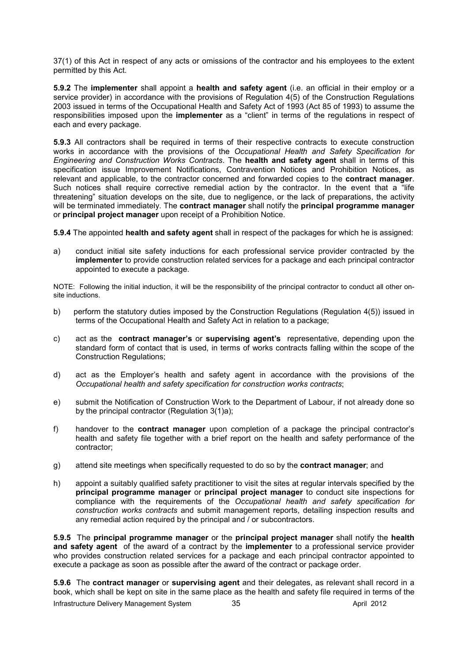37(1) of this Act in respect of any acts or omissions of the contractor and his employees to the extent permitted by this Act.

**5.9.2** The **implementer** shall appoint a **health and safety agent** (i.e. an official in their employ or a service provider) in accordance with the provisions of Regulation 4(5) of the Construction Regulations 2003 issued in terms of the Occupational Health and Safety Act of 1993 (Act 85 of 1993) to assume the responsibilities imposed upon the **implementer** as a "client" in terms of the regulations in respect of each and every package.

**5.9.3** All contractors shall be required in terms of their respective contracts to execute construction works in accordance with the provisions of the *Occupational Health and Safety Specification for Engineering and Construction Works Contracts*. The **health and safety agent** shall in terms of this specification issue Improvement Notifications, Contravention Notices and Prohibition Notices, as relevant and applicable, to the contractor concerned and forwarded copies to the **contract manager**. Such notices shall require corrective remedial action by the contractor. In the event that a "life threatening" situation develops on the site, due to negligence, or the lack of preparations, the activity will be terminated immediately. The **contract manager** shall notify the **principal programme manager**  or **principal project manager** upon receipt of a Prohibition Notice.

**5.9.4** The appointed **health and safety agent** shall in respect of the packages for which he is assigned:

a) conduct initial site safety inductions for each professional service provider contracted by the **implementer** to provide construction related services for a package and each principal contractor appointed to execute a package.

NOTE: Following the initial induction, it will be the responsibility of the principal contractor to conduct all other onsite inductions.

- b) perform the statutory duties imposed by the Construction Regulations (Regulation 4(5)) issued in terms of the Occupational Health and Safety Act in relation to a package;
- c) act as the **contract manager's** or **supervising agent's** representative, depending upon the standard form of contact that is used, in terms of works contracts falling within the scope of the Construction Regulations;
- d) act as the Employer's health and safety agent in accordance with the provisions of the *Occupational health and safety specification for construction works contracts*;
- e) submit the Notification of Construction Work to the Department of Labour, if not already done so by the principal contractor (Regulation 3(1)a);
- f) handover to the **contract manager** upon completion of a package the principal contractor's health and safety file together with a brief report on the health and safety performance of the contractor;
- g) attend site meetings when specifically requested to do so by the **contract manager**; and
- h) appoint a suitably qualified safety practitioner to visit the sites at regular intervals specified by the **principal programme manager** or **principal project manager** to conduct site inspections for compliance with the requirements of the *Occupational health and safety specification for construction works contracts* and submit management reports, detailing inspection results and any remedial action required by the principal and / or subcontractors.

**5.9.5** The **principal programme manager** or the **principal project manager** shall notify the **health and safety agent** of the award of a contract by the **implementer** to a professional service provider who provides construction related services for a package and each principal contractor appointed to execute a package as soon as possible after the award of the contract or package order.

**5.9.6** The **contract manager** or **supervising agent** and their delegates, as relevant shall record in a book, which shall be kept on site in the same place as the health and safety file required in terms of the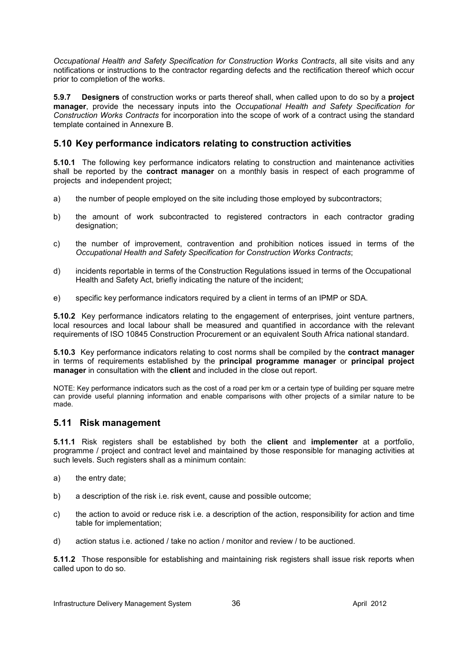*Occupational Health and Safety Specification for Construction Works Contracts*, all site visits and any notifications or instructions to the contractor regarding defects and the rectification thereof which occur prior to completion of the works.

**5.9.7 Designers** of construction works or parts thereof shall, when called upon to do so by a **project manager**, provide the necessary inputs into the *Occupational Health and Safety Specification for Construction Works Contracts* for incorporation into the scope of work of a contract using the standard template contained in Annexure B.

# **5.10 Key performance indicators relating to construction activities**

**5.10.1** The following key performance indicators relating to construction and maintenance activities shall be reported by the **contract manager** on a monthly basis in respect of each programme of projects and independent project;

- a) the number of people employed on the site including those employed by subcontractors;
- b) the amount of work subcontracted to registered contractors in each contractor grading designation;
- c) the number of improvement, contravention and prohibition notices issued in terms of the *Occupational Health and Safety Specification for Construction Works Contracts*;
- d) incidents reportable in terms of the Construction Regulations issued in terms of the Occupational Health and Safety Act, briefly indicating the nature of the incident;
- e) specific key performance indicators required by a client in terms of an IPMP or SDA.

**5.10.2** Key performance indicators relating to the engagement of enterprises, joint venture partners, local resources and local labour shall be measured and quantified in accordance with the relevant requirements of ISO 10845 Construction Procurement or an equivalent South Africa national standard.

**5.10.3** Key performance indicators relating to cost norms shall be compiled by the **contract manager** in terms of requirements established by the **principal programme manager** or **principal project manager** in consultation with the **client** and included in the close out report.

NOTE: Key performance indicators such as the cost of a road per km or a certain type of building per square metre can provide useful planning information and enable comparisons with other projects of a similar nature to be made.

# **5.11 Risk management**

**5.11.1** Risk registers shall be established by both the **client** and **implementer** at a portfolio, programme / project and contract level and maintained by those responsible for managing activities at such levels. Such registers shall as a minimum contain:

- a) the entry date;
- b) a description of the risk i.e. risk event, cause and possible outcome;
- c) the action to avoid or reduce risk i.e. a description of the action, responsibility for action and time table for implementation;
- d) action status i.e. actioned / take no action / monitor and review / to be auctioned.

**5.11.2** Those responsible for establishing and maintaining risk registers shall issue risk reports when called upon to do so.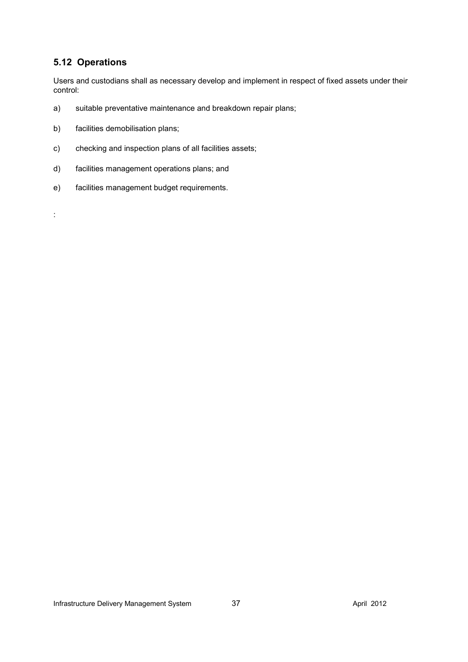# **5.12 Operations**

:

Users and custodians shall as necessary develop and implement in respect of fixed assets under their control:

- a) suitable preventative maintenance and breakdown repair plans;
- b) facilities demobilisation plans;
- c) checking and inspection plans of all facilities assets;
- d) facilities management operations plans; and
- e) facilities management budget requirements.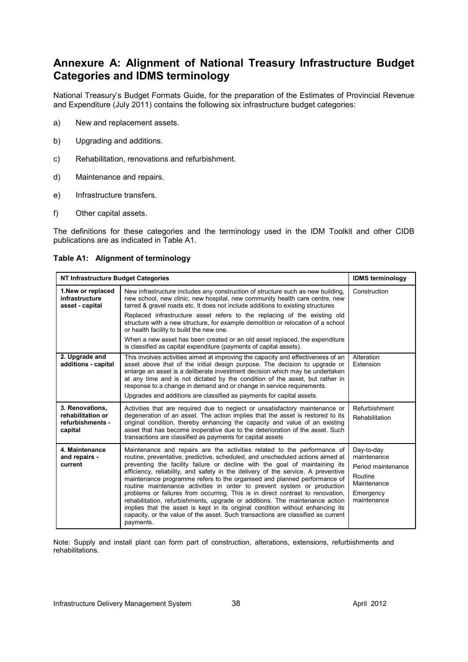# **Annexure A: Alignment of National Treasury Infrastructure Budget Categories and IDMS terminology**

National Treasury's Budget Formats Guide, for the preparation of the Estimates of Provincial Revenue and Expenditure (July 2011) contains the following six infrastructure budget categories:

- a) New and replacement assets.
- b) Upgrading and additions.
- c) Rehabilitation, renovations and refurbishment.
- d) Maintenance and repairs.
- e) Infrastructure transfers.
- f) Other capital assets.

The definitions for these categories and the terminology used in the IDM Toolkit and other CIDB publications are as indicated in Table A1.

**Table A1: Alignment of terminology** 

| NT Infrastructure Budget Categories                                 | <b>IDMS</b> terminology                                                                                                                                                                                                                                                                                                                                                                                                                                                                                                                                                                                                                                                                                                                                                                                                                   |                                                                                                       |
|---------------------------------------------------------------------|-------------------------------------------------------------------------------------------------------------------------------------------------------------------------------------------------------------------------------------------------------------------------------------------------------------------------------------------------------------------------------------------------------------------------------------------------------------------------------------------------------------------------------------------------------------------------------------------------------------------------------------------------------------------------------------------------------------------------------------------------------------------------------------------------------------------------------------------|-------------------------------------------------------------------------------------------------------|
| 1. New or replaced<br>infrastructure<br>asset - capital             | New infrastructure includes any construction of structure such as new building.<br>new school, new clinic, new hospital, new community health care centre, new<br>tarred & gravel roads etc. It does not include additions to existing structures                                                                                                                                                                                                                                                                                                                                                                                                                                                                                                                                                                                         |                                                                                                       |
|                                                                     | Replaced infrastructure asset refers to the replacing of the existing old<br>structure with a new structure, for example demolition or relocation of a school<br>or health facility to build the new one.                                                                                                                                                                                                                                                                                                                                                                                                                                                                                                                                                                                                                                 |                                                                                                       |
|                                                                     | When a new asset has been created or an old asset replaced, the expenditure<br>is classified as capital expenditure (payments of capital assets).                                                                                                                                                                                                                                                                                                                                                                                                                                                                                                                                                                                                                                                                                         |                                                                                                       |
| 2. Upgrade and<br>additions - capital                               | This involves activities aimed at improving the capacity and effectiveness of an<br>asset above that of the initial design purpose. The decision to upgrade or<br>enlarge an asset is a deliberate investment decision which may be undertaken<br>at any time and is not dictated by the condition of the asset, but rather in<br>response to a change in demand and or change in service requirements.                                                                                                                                                                                                                                                                                                                                                                                                                                   | Alteration<br>Extension                                                                               |
|                                                                     | Upgrades and additions are classified as payments for capital assets.                                                                                                                                                                                                                                                                                                                                                                                                                                                                                                                                                                                                                                                                                                                                                                     |                                                                                                       |
| 3. Renovations,<br>rehabilitation or<br>refurbishments -<br>capital | Activities that are required due to neglect or unsatisfactory maintenance or<br>degeneration of an asset. The action implies that the asset is restored to its<br>original condition, thereby enhancing the capacity and value of an existing<br>asset that has become inoperative due to the deterioration of the asset. Such<br>transactions are classified as payments for capital assets                                                                                                                                                                                                                                                                                                                                                                                                                                              | Refurbishment<br>Rehabilitation                                                                       |
| 4. Maintenance<br>and repairs -<br>current                          | Maintenance and repairs are the activities related to the performance of<br>routine, preventative, predictive, scheduled, and unscheduled actions aimed at<br>preventing the facility failure or decline with the goal of maintaining its<br>efficiency, reliability, and safety in the delivery of the service. A preventive<br>maintenance programme refers to the organised and planned performance of<br>routine maintenance activities in order to prevent system or production<br>problems or failures from occurring. This is in direct contrast to renovation,<br>rehabilitation, refurbishments, upgrade or additions. The maintenance action<br>implies that the asset is kept in its original condition without enhancing its<br>capacity, or the value of the asset. Such transactions are classified as current<br>payments. | Day-to-day<br>maintenance<br>Period maintenance<br>Routine<br>Maintenance<br>Emergency<br>maintenance |

Note: Supply and install plant can form part of construction, alterations, extensions, refurbishments and rehabilitations.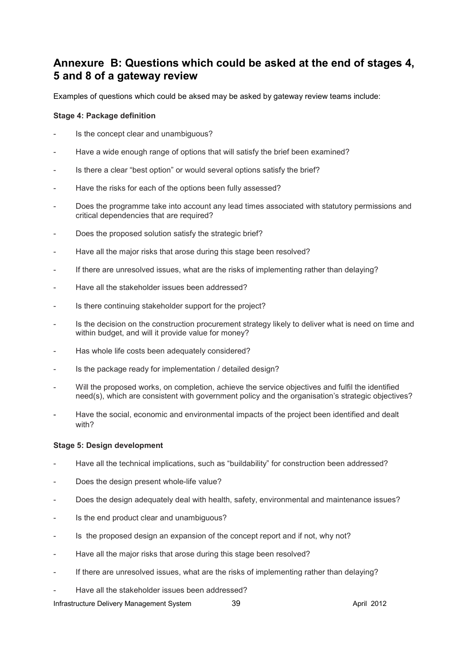# **Annexure B: Questions which could be asked at the end of stages 4, 5 and 8 of a gateway review**

Examples of questions which could be aksed may be asked by gateway review teams include:

#### **Stage 4: Package definition**

- Is the concept clear and unambiguous?
- Have a wide enough range of options that will satisfy the brief been examined?
- Is there a clear "best option" or would several options satisfy the brief?
- Have the risks for each of the options been fully assessed?
- Does the programme take into account any lead times associated with statutory permissions and critical dependencies that are required?
- Does the proposed solution satisfy the strategic brief?
- Have all the major risks that arose during this stage been resolved?
- If there are unresolved issues, what are the risks of implementing rather than delaying?
- Have all the stakeholder issues been addressed?
- Is there continuing stakeholder support for the project?
- Is the decision on the construction procurement strategy likely to deliver what is need on time and within budget, and will it provide value for money?
- Has whole life costs been adequately considered?
- Is the package ready for implementation / detailed design?
- Will the proposed works, on completion, achieve the service objectives and fulfil the identified need(s), which are consistent with government policy and the organisation's strategic objectives?
- Have the social, economic and environmental impacts of the project been identified and dealt with?

#### **Stage 5: Design development**

- Have all the technical implications, such as "buildability" for construction been addressed?
- Does the design present whole-life value?
- Does the design adequately deal with health, safety, environmental and maintenance issues?
- Is the end product clear and unambiguous?
- Is the proposed design an expansion of the concept report and if not, why not?
- Have all the major risks that arose during this stage been resolved?
- If there are unresolved issues, what are the risks of implementing rather than delaying?
- Have all the stakeholder issues been addressed?

Infrastructure Delivery Management System 39 April 2012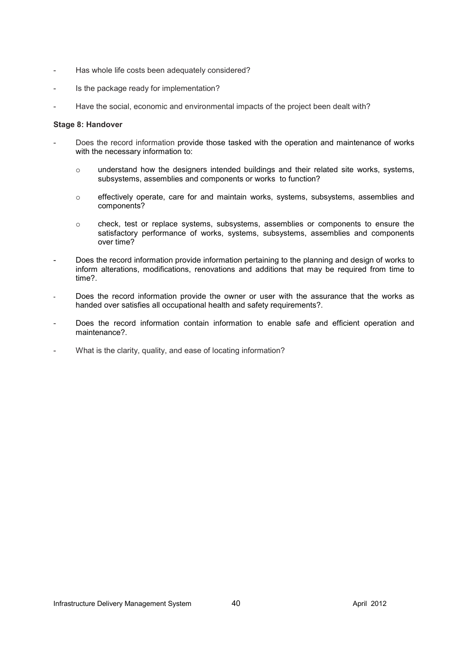- Has whole life costs been adequately considered?
- Is the package ready for implementation?
- Have the social, economic and environmental impacts of the project been dealt with?

#### **Stage 8: Handover**

- Does the record information provide those tasked with the operation and maintenance of works with the necessary information to:
	- $\circ$  understand how the designers intended buildings and their related site works, systems, subsystems, assemblies and components or works to function?
	- o effectively operate, care for and maintain works, systems, subsystems, assemblies and components?
	- o check, test or replace systems, subsystems, assemblies or components to ensure the satisfactory performance of works, systems, subsystems, assemblies and components over time?
- Does the record information provide information pertaining to the planning and design of works to inform alterations, modifications, renovations and additions that may be required from time to time?.
- Does the record information provide the owner or user with the assurance that the works as handed over satisfies all occupational health and safety requirements?.
- Does the record information contain information to enable safe and efficient operation and maintenance?.
- What is the clarity, quality, and ease of locating information?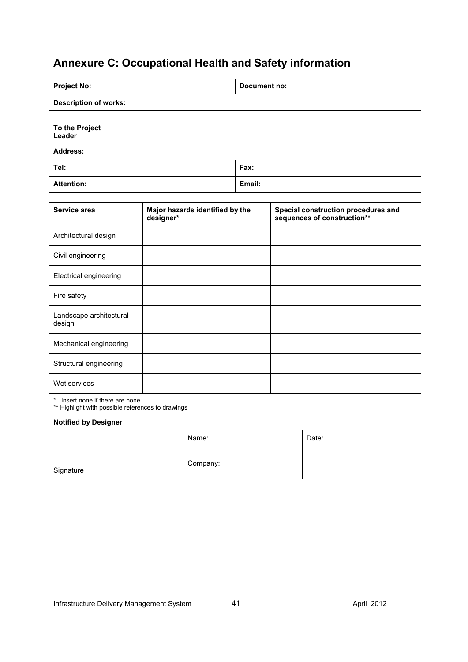# **Annexure C: Occupational Health and Safety information**

| <b>Project No:</b>           | Document no: |  |  |  |
|------------------------------|--------------|--|--|--|
| <b>Description of works:</b> |              |  |  |  |
|                              |              |  |  |  |
| To the Project<br>Leader     |              |  |  |  |
| <b>Address:</b>              |              |  |  |  |
| Tel:                         | Fax:         |  |  |  |
| <b>Attention:</b>            | Email:       |  |  |  |

| Service area                      | Major hazards identified by the<br>designer* | Special construction procedures and<br>sequences of construction** |
|-----------------------------------|----------------------------------------------|--------------------------------------------------------------------|
| Architectural design              |                                              |                                                                    |
| Civil engineering                 |                                              |                                                                    |
| Electrical engineering            |                                              |                                                                    |
| Fire safety                       |                                              |                                                                    |
| Landscape architectural<br>design |                                              |                                                                    |
| Mechanical engineering            |                                              |                                                                    |
| Structural engineering            |                                              |                                                                    |
| Wet services                      |                                              |                                                                    |

\* Insert none if there are none

\*\* Highlight with possible references to drawings

| <b>Notified by Designer</b> |          |       |  |  |  |
|-----------------------------|----------|-------|--|--|--|
|                             | Name:    | Date: |  |  |  |
| Signature                   | Company: |       |  |  |  |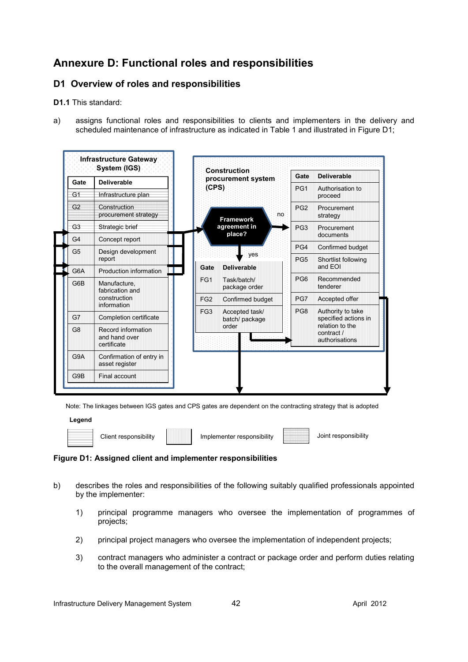# **Annexure D: Functional roles and responsibilities**

# **D1 Overview of roles and responsibilities**

**D1.1** This standard:

a) assigns functional roles and responsibilities to clients and implementers in the delivery and scheduled maintenance of infrastructure as indicated in Table 1 and illustrated in Figure D1;



Note: The linkages between IGS gates and CPS gates are dependent on the contracting strategy that is adopted

#### **Legend**



Client responsibility | Implementer responsibility | Joint responsibility

# **Figure D1: Assigned client and implementer responsibilities**

- b) describes the roles and responsibilities of the following suitably qualified professionals appointed by the implementer:
	- 1) principal programme managers who oversee the implementation of programmes of projects;
	- 2) principal project managers who oversee the implementation of independent projects;
	- 3) contract managers who administer a contract or package order and perform duties relating to the overall management of the contract;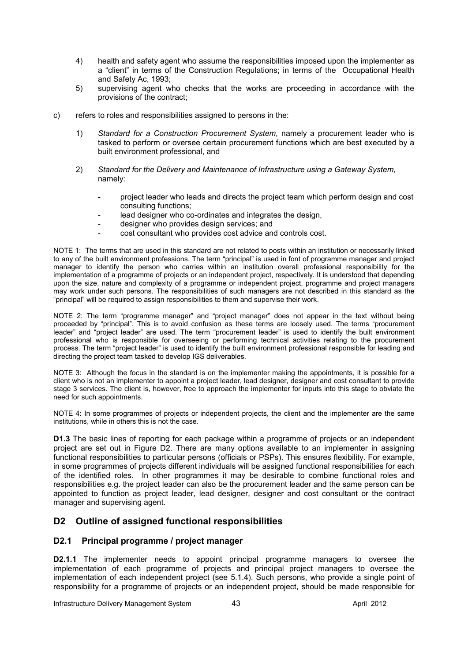- 4) health and safety agent who assume the responsibilities imposed upon the implementer as a "client" in terms of the Construction Regulations; in terms of the Occupational Health and Safety Ac, 1993;
- 5) supervising agent who checks that the works are proceeding in accordance with the provisions of the contract;
- c) refers to roles and responsibilities assigned to persons in the:
	- 1) *Standard for a Construction Procurement System*, namely a procurement leader who is tasked to perform or oversee certain procurement functions which are best executed by a built environment professional, and
	- 2) *Standard for the Delivery and Maintenance of Infrastructure using a Gateway System,* namely:
		- project leader who leads and directs the project team which perform design and cost consulting functions;
		- lead designer who co-ordinates and integrates the design,
		- designer who provides design services; and
		- cost consultant who provides cost advice and controls cost.

NOTE 1: The terms that are used in this standard are not related to posts within an institution or necessarily linked to any of the built environment professions. The term "principal" is used in font of programme manager and project manager to identify the person who carries within an institution overall professional responsibility for the implementation of a programme of projects or an independent project, respectively. It is understood that depending upon the size, nature and complexity of a programme or independent project, programme and project managers may work under such persons. The responsibilities of such managers are not described in this standard as the "principal" will be required to assign responsibilities to them and supervise their work.

NOTE 2: The term "programme manager" and "project manager" does not appear in the text without being proceeded by "principal". This is to avoid confusion as these terms are loosely used. The terms "procurement leader" and "project leader" are used. The term "procurement leader" is used to identify the built environment professional who is responsible for overseeing or performing technical activities relating to the procurement process. The term "project leader" is used to identify the built environment professional responsible for leading and directing the project team tasked to develop IGS deliverables.

NOTE 3: Although the focus in the standard is on the implementer making the appointments, it is possible for a client who is not an implementer to appoint a project leader, lead designer, designer and cost consultant to provide stage 3 services. The client is, however, free to approach the implementer for inputs into this stage to obviate the need for such appointments.

NOTE 4: In some programmes of projects or independent projects, the client and the implementer are the same institutions, while in others this is not the case.

**D1.3** The basic lines of reporting for each package within a programme of projects or an independent project are set out in Figure D2. There are many options available to an implementer in assigning functional responsibilities to particular persons (officials or PSPs). This ensures flexibility. For example, in some programmes of projects different individuals will be assigned functional responsibilities for each of the identified roles. In other programmes it may be desirable to combine functional roles and responsibilities e.g. the project leader can also be the procurement leader and the same person can be appointed to function as project leader, lead designer, designer and cost consultant or the contract manager and supervising agent.

# **D2 Outline of assigned functional responsibilities**

#### **D2.1 Principal programme / project manager**

**D2.1.1** The implementer needs to appoint principal programme managers to oversee the implementation of each programme of projects and principal project managers to oversee the implementation of each independent project (see 5.1.4). Such persons, who provide a single point of responsibility for a programme of projects or an independent project, should be made responsible for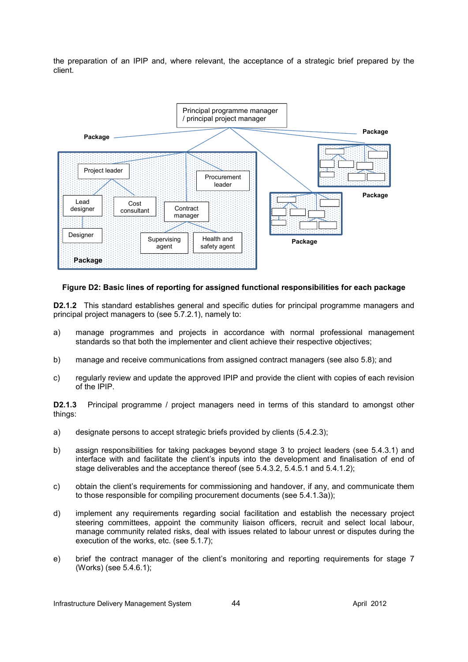the preparation of an IPIP and, where relevant, the acceptance of a strategic brief prepared by the client.



#### **Figure D2: Basic lines of reporting for assigned functional responsibilities for each package**

**D2.1.2** This standard establishes general and specific duties for principal programme managers and principal project managers to (see 5.7.2.1), namely to:

- a) manage programmes and projects in accordance with normal professional management standards so that both the implementer and client achieve their respective objectives;
- b) manage and receive communications from assigned contract managers (see also 5.8); and
- c) regularly review and update the approved IPIP and provide the client with copies of each revision of the IPIP.

**D2.1.3** Principal programme / project managers need in terms of this standard to amongst other things:

- a) designate persons to accept strategic briefs provided by clients (5.4.2.3);
- b) assign responsibilities for taking packages beyond stage 3 to project leaders (see 5.4.3.1) and interface with and facilitate the client's inputs into the development and finalisation of end of stage deliverables and the acceptance thereof (see 5.4.3.2, 5.4.5.1 and 5.4.1.2);
- c) obtain the client's requirements for commissioning and handover, if any, and communicate them to those responsible for compiling procurement documents (see 5.4.1.3a));
- d) implement any requirements regarding social facilitation and establish the necessary project steering committees, appoint the community liaison officers, recruit and select local labour, manage community related risks, deal with issues related to labour unrest or disputes during the execution of the works, etc. (see 5.1.7);
- e) brief the contract manager of the client's monitoring and reporting requirements for stage 7 (Works) (see 5.4.6.1);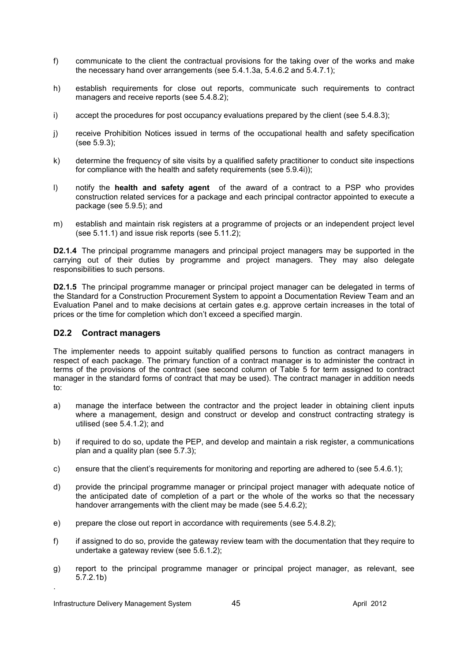- f) communicate to the client the contractual provisions for the taking over of the works and make the necessary hand over arrangements (see 5.4.1.3a, 5.4.6.2 and 5.4.7.1);
- h) establish requirements for close out reports, communicate such requirements to contract managers and receive reports (see 5.4.8.2);
- i) accept the procedures for post occupancy evaluations prepared by the client (see 5.4.8.3);
- j) receive Prohibition Notices issued in terms of the occupational health and safety specification (see 5.9.3);
- k) determine the frequency of site visits by a qualified safety practitioner to conduct site inspections for compliance with the health and safety requirements (see 5.9.4i));
- l) notify the **health and safety agent** of the award of a contract to a PSP who provides construction related services for a package and each principal contractor appointed to execute a package (see 5.9.5); and
- m) establish and maintain risk registers at a programme of projects or an independent project level (see 5.11.1) and issue risk reports (see 5.11.2);

**D2.1.4** The principal programme managers and principal project managers may be supported in the carrying out of their duties by programme and project managers. They may also delegate responsibilities to such persons.

**D2.1.5** The principal programme manager or principal project manager can be delegated in terms of the Standard for a Construction Procurement System to appoint a Documentation Review Team and an Evaluation Panel and to make decisions at certain gates e.g. approve certain increases in the total of prices or the time for completion which don't exceed a specified margin.

#### **D2.2 Contract managers**

The implementer needs to appoint suitably qualified persons to function as contract managers in respect of each package. The primary function of a contract manager is to administer the contract in terms of the provisions of the contract (see second column of Table 5 for term assigned to contract manager in the standard forms of contract that may be used). The contract manager in addition needs to:

- a) manage the interface between the contractor and the project leader in obtaining client inputs where a management, design and construct or develop and construct contracting strategy is utilised (see 5.4.1.2); and
- b) if required to do so, update the PEP, and develop and maintain a risk register, a communications plan and a quality plan (see 5.7.3);
- c) ensure that the client's requirements for monitoring and reporting are adhered to (see 5.4.6.1);
- d) provide the principal programme manager or principal project manager with adequate notice of the anticipated date of completion of a part or the whole of the works so that the necessary handover arrangements with the client may be made (see 5.4.6.2);
- e) prepare the close out report in accordance with requirements (see 5.4.8.2);
- f) if assigned to do so, provide the gateway review team with the documentation that they require to undertake a gateway review (see 5.6.1.2);
- g) report to the principal programme manager or principal project manager, as relevant, see 5.7.2.1b)

.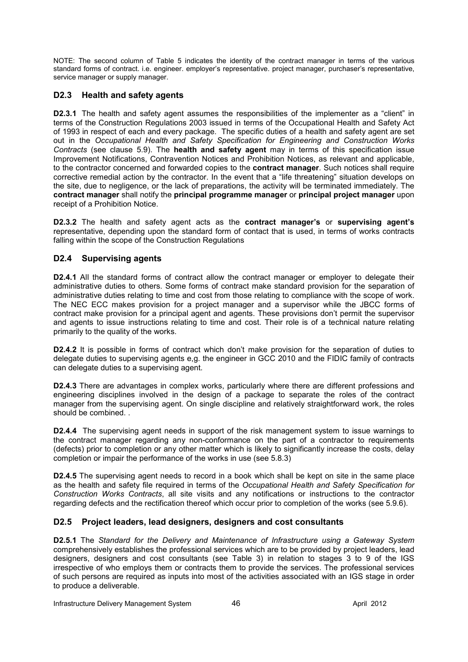NOTE: The second column of Table 5 indicates the identity of the contract manager in terms of the various standard forms of contract. i.e. engineer. employer's representative. project manager, purchaser's representative, service manager or supply manager.

# **D2.3 Health and safety agents**

**D2.3.1** The health and safety agent assumes the responsibilities of the implementer as a "client" in terms of the Construction Regulations 2003 issued in terms of the Occupational Health and Safety Act of 1993 in respect of each and every package. The specific duties of a health and safety agent are set out in the *Occupational Health and Safety Specification for Engineering and Construction Works Contracts* (see clause 5.9). The **health and safety agent** may in terms of this specification issue Improvement Notifications, Contravention Notices and Prohibition Notices, as relevant and applicable, to the contractor concerned and forwarded copies to the **contract manager**. Such notices shall require corrective remedial action by the contractor. In the event that a "life threatening" situation develops on the site, due to negligence, or the lack of preparations, the activity will be terminated immediately. The **contract manager** shall notify the **principal programme manager** or **principal project manager** upon receipt of a Prohibition Notice.

**D2.3.2** The health and safety agent acts as the **contract manager's** or **supervising agent's** representative, depending upon the standard form of contact that is used, in terms of works contracts falling within the scope of the Construction Regulations

# **D2.4 Supervising agents**

**D2.4.1** All the standard forms of contract allow the contract manager or employer to delegate their administrative duties to others. Some forms of contract make standard provision for the separation of administrative duties relating to time and cost from those relating to compliance with the scope of work. The NEC ECC makes provision for a project manager and a supervisor while the JBCC forms of contract make provision for a principal agent and agents. These provisions don't permit the supervisor and agents to issue instructions relating to time and cost. Their role is of a technical nature relating primarily to the quality of the works.

**D2.4.2** It is possible in forms of contract which don't make provision for the separation of duties to delegate duties to supervising agents e,g. the engineer in GCC 2010 and the FIDIC family of contracts can delegate duties to a supervising agent.

**D2.4.3** There are advantages in complex works, particularly where there are different professions and engineering disciplines involved in the design of a package to separate the roles of the contract manager from the supervising agent. On single discipline and relatively straightforward work, the roles should be combined. .

**D2.4.4** The supervising agent needs in support of the risk management system to issue warnings to the contract manager regarding any non-conformance on the part of a contractor to requirements (defects) prior to completion or any other matter which is likely to significantly increase the costs, delay completion or impair the performance of the works in use (see 5.8.3)

**D2.4.5** The supervising agent needs to record in a book which shall be kept on site in the same place as the health and safety file required in terms of the *Occupational Health and Safety Specification for Construction Works Contracts*, all site visits and any notifications or instructions to the contractor regarding defects and the rectification thereof which occur prior to completion of the works (see 5.9.6).

# **D2.5 Project leaders, lead designers, designers and cost consultants**

**D2.5.1** The *Standard for the Delivery and Maintenance of Infrastructure using a Gateway System*  comprehensively establishes the professional services which are to be provided by project leaders, lead designers, designers and cost consultants (see Table 3) in relation to stages 3 to 9 of the IGS irrespective of who employs them or contracts them to provide the services. The professional services of such persons are required as inputs into most of the activities associated with an IGS stage in order to produce a deliverable.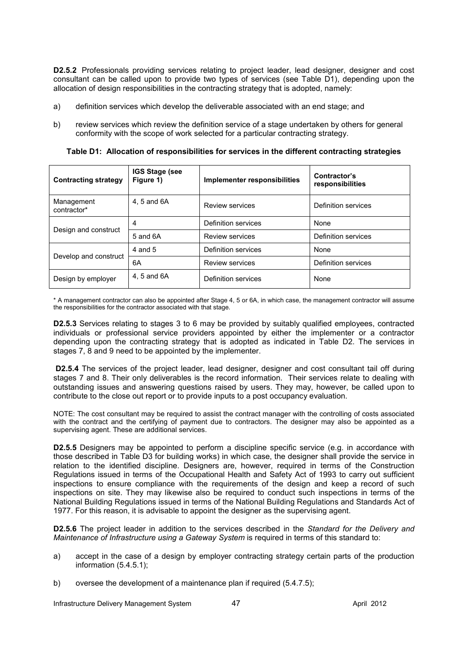**D2.5.2** Professionals providing services relating to project leader, lead designer, designer and cost consultant can be called upon to provide two types of services (see Table D1), depending upon the allocation of design responsibilities in the contracting strategy that is adopted, namely:

- a) definition services which develop the deliverable associated with an end stage; and
- b) review services which review the definition service of a stage undertaken by others for general conformity with the scope of work selected for a particular contracting strategy.

**Table D1: Allocation of responsibilities for services in the different contracting strategies** 

| <b>IGS Stage (see</b><br><b>Contracting strategy</b><br>Figure 1) |             | Implementer responsibilities | Contractor's<br>responsibilities |  |
|-------------------------------------------------------------------|-------------|------------------------------|----------------------------------|--|
| Management<br>contractor*                                         | 4, 5 and 6A | <b>Review services</b>       | Definition services              |  |
|                                                                   | 4           | Definition services          | None                             |  |
| Design and construct                                              | 5 and 6A    | Review services              | Definition services              |  |
|                                                                   | 4 and 5     | Definition services          | None                             |  |
| Develop and construct                                             | 6A          | Review services              | Definition services              |  |
| Design by employer                                                | 4, 5 and 6A | Definition services          | None                             |  |

\* A management contractor can also be appointed after Stage 4, 5 or 6A, in which case, the management contractor will assume the responsibilities for the contractor associated with that stage.

**D2.5.3** Services relating to stages 3 to 6 may be provided by suitably qualified employees, contracted individuals or professional service providers appointed by either the implementer or a contractor depending upon the contracting strategy that is adopted as indicated in Table D2. The services in stages 7, 8 and 9 need to be appointed by the implementer.

**D2.5.4** The services of the project leader, lead designer, designer and cost consultant tail off during stages 7 and 8. Their only deliverables is the record information. Their services relate to dealing with outstanding issues and answering questions raised by users. They may, however, be called upon to contribute to the close out report or to provide inputs to a post occupancy evaluation.

NOTE: The cost consultant may be required to assist the contract manager with the controlling of costs associated with the contract and the certifying of payment due to contractors. The designer may also be appointed as a supervising agent. These are additional services.

**D2.5.5** Designers may be appointed to perform a discipline specific service (e.g. in accordance with those described in Table D3 for building works) in which case, the designer shall provide the service in relation to the identified discipline. Designers are, however, required in terms of the Construction Regulations issued in terms of the Occupational Health and Safety Act of 1993 to carry out sufficient inspections to ensure compliance with the requirements of the design and keep a record of such inspections on site. They may likewise also be required to conduct such inspections in terms of the National Building Regulations issued in terms of the National Building Regulations and Standards Act of 1977. For this reason, it is advisable to appoint the designer as the supervising agent.

**D2.5.6** The project leader in addition to the services described in the *Standard for the Delivery and Maintenance of Infrastructure using a Gateway System* is required in terms of this standard to:

- a) accept in the case of a design by employer contracting strategy certain parts of the production information (5.4.5.1);
- b) oversee the development of a maintenance plan if required (5.4.7.5);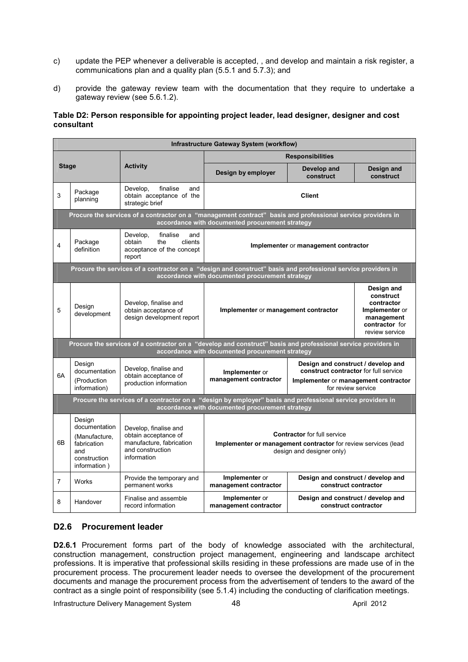- c) update the PEP whenever a deliverable is accepted, , and develop and maintain a risk register, a communications plan and a quality plan (5.5.1 and 5.7.3); and
- d) provide the gateway review team with the documentation that they require to undertake a gateway review (see 5.6.1.2).

#### **Table D2: Person responsible for appointing project leader, lead designer, designer and cost consultant**

|                                                                                                                                                               | <b>Infrastructure Gateway System (workflow)</b>                                                |                                                                                                              |                                                                                                                                                                                      |                                                            |                                                                                                           |  |  |
|---------------------------------------------------------------------------------------------------------------------------------------------------------------|------------------------------------------------------------------------------------------------|--------------------------------------------------------------------------------------------------------------|--------------------------------------------------------------------------------------------------------------------------------------------------------------------------------------|------------------------------------------------------------|-----------------------------------------------------------------------------------------------------------|--|--|
|                                                                                                                                                               |                                                                                                |                                                                                                              | <b>Responsibilities</b>                                                                                                                                                              |                                                            |                                                                                                           |  |  |
| <b>Stage</b>                                                                                                                                                  |                                                                                                | <b>Activity</b>                                                                                              | Design by employer                                                                                                                                                                   | Develop and<br>construct                                   | Design and<br>construct                                                                                   |  |  |
| Package<br>3<br>planning                                                                                                                                      |                                                                                                | Develop,<br>finalise<br>and<br>obtain acceptance of the<br>strategic brief                                   | <b>Client</b>                                                                                                                                                                        |                                                            |                                                                                                           |  |  |
|                                                                                                                                                               |                                                                                                |                                                                                                              | Procure the services of a contractor on a "management contract" basis and professional service providers in<br>accordance with documented procurement strategy                       |                                                            |                                                                                                           |  |  |
| Develop,<br>finalise<br>and<br>clients<br>Package<br>obtain<br>the<br>4<br>definition<br>acceptance of the concept<br>report                                  |                                                                                                |                                                                                                              | Implementer or management contractor                                                                                                                                                 |                                                            |                                                                                                           |  |  |
|                                                                                                                                                               |                                                                                                |                                                                                                              | Procure the services of a contractor on a "design and construct" basis and professional service providers in<br>accordance with documented procurement strategy                      |                                                            |                                                                                                           |  |  |
| 5                                                                                                                                                             | Design<br>development                                                                          | Develop, finalise and<br>obtain acceptance of<br>design development report                                   | Implementer or management contractor                                                                                                                                                 |                                                            | Design and<br>construct<br>contractor<br>Implementer or<br>management<br>contractor for<br>review service |  |  |
|                                                                                                                                                               |                                                                                                |                                                                                                              | Procure the services of a contractor on a "develop and construct" basis and professional service providers in<br>accordance with documented procurement strategy                     |                                                            |                                                                                                           |  |  |
| 6A                                                                                                                                                            | Design<br>documentation<br>(Production)<br>information)                                        | Develop, finalise and<br>obtain acceptance of<br>production information                                      | Design and construct / develop and<br>construct contractor for full service<br>Implementer or<br>management contractor<br>Implementer or management contractor<br>for review service |                                                            |                                                                                                           |  |  |
| Procure the services of a contractor on a "design by employer" basis and professional service providers in<br>accordance with documented procurement strategy |                                                                                                |                                                                                                              |                                                                                                                                                                                      |                                                            |                                                                                                           |  |  |
| 6B                                                                                                                                                            | Design<br>documentation<br>(Manufacture,<br>fabrication<br>and<br>construction<br>information) | Develop, finalise and<br>obtain acceptance of<br>manufacture, fabrication<br>and construction<br>information | <b>Contractor</b> for full service<br>Implementer or management contractor for review services (lead<br>design and designer only)                                                    |                                                            |                                                                                                           |  |  |
| $\overline{7}$                                                                                                                                                | Works                                                                                          | Provide the temporary and<br>permanent works                                                                 | Implementer or<br>management contractor                                                                                                                                              | Design and construct / develop and<br>construct contractor |                                                                                                           |  |  |
| 8                                                                                                                                                             | Handover                                                                                       | Finalise and assemble<br>record information                                                                  | Implementer or<br>Design and construct / develop and<br>construct contractor<br>management contractor                                                                                |                                                            |                                                                                                           |  |  |

# **D2.6 Procurement leader**

**D2.6.1** Procurement forms part of the body of knowledge associated with the architectural, construction management, construction project management, engineering and landscape architect professions. It is imperative that professional skills residing in these professions are made use of in the procurement process. The procurement leader needs to oversee the development of the procurement documents and manage the procurement process from the advertisement of tenders to the award of the contract as a single point of responsibility (see 5.1.4) including the conducting of clarification meetings.

Infrastructure Delivery Management System 48 April 2012